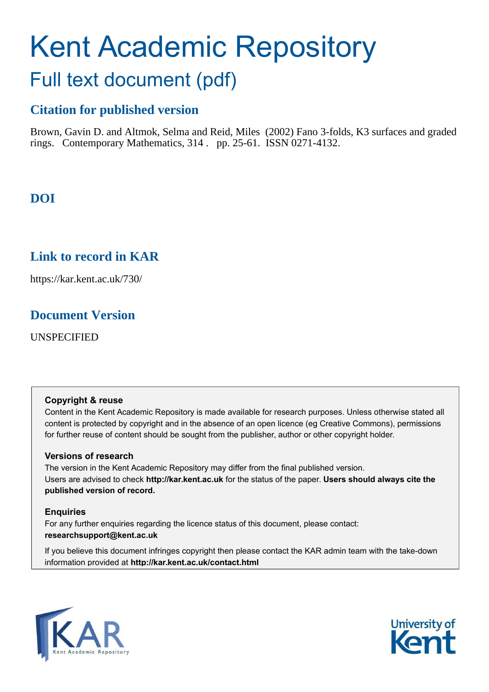# Kent Academic Repository

## Full text document (pdf)

## **Citation for published version**

Brown, Gavin D. and Altmok, Selma and Reid, Miles (2002) Fano 3-folds, K3 surfaces and graded rings. Contemporary Mathematics, 314 . pp. 25-61. ISSN 0271-4132.

## **DOI**

## **Link to record in KAR**

https://kar.kent.ac.uk/730/

### **Document Version**

UNSPECIFIED

#### **Copyright & reuse**

Content in the Kent Academic Repository is made available for research purposes. Unless otherwise stated all content is protected by copyright and in the absence of an open licence (eg Creative Commons), permissions for further reuse of content should be sought from the publisher, author or other copyright holder.

#### **Versions of research**

The version in the Kent Academic Repository may differ from the final published version. Users are advised to check **http://kar.kent.ac.uk** for the status of the paper. **Users should always cite the published version of record.**

#### **Enquiries**

For any further enquiries regarding the licence status of this document, please contact: **researchsupport@kent.ac.uk**

If you believe this document infringes copyright then please contact the KAR admin team with the take-down information provided at **http://kar.kent.ac.uk/contact.html**



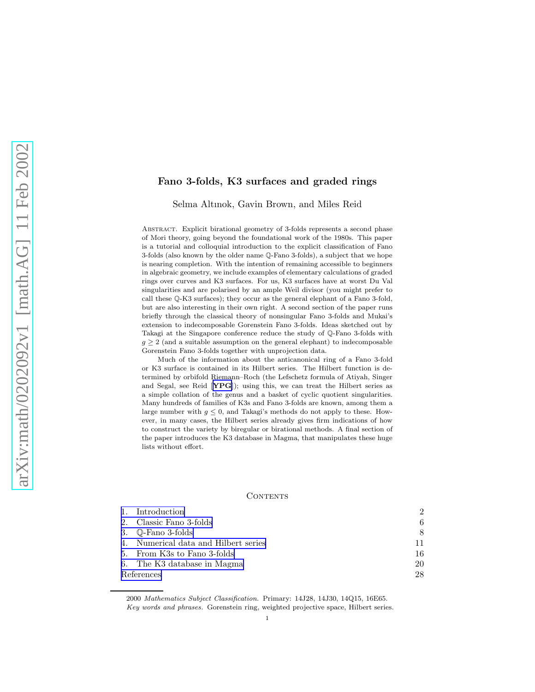#### <span id="page-1-0"></span>Fano 3-folds, K3 surfaces and graded rings

Selma Altınok, Gavin Brown, and Miles Reid

Abstract. Explicit birational geometry of 3-folds represents a second phase of Mori theory, going beyond the foundational work of the 1980s. This paper is a tutorial and colloquial introduction to the explicit classification of Fano 3-folds (also known by the older name Q-Fano 3-folds), a subject that we hope is nearing completion. With the intention of remaining accessible to beginners in algebraic geometry, we include examples of elementary calculations of graded rings over curves and K3 surfaces. For us, K3 surfaces have at worst Du Val singularities and are polarised by an ample Weil divisor (you might prefer to call these Q-K3 surfaces); they occur as the general elephant of a Fano 3-fold, but are also interesting in their own right. A second section of the paper runs briefly through the classical theory of nonsingular Fano 3-folds and Mukai's extension to indecomposable Gorenstein Fano 3-folds. Ideas sketched out by Takagi at the Singapore conference reduce the study of Q-Fano 3-folds with  $g \geq 2$  (and a suitable assumption on the general elephant) to indecomposable Gorenstein Fano 3-folds together with unprojection data.

Much of the information about the anticanonical ring of a Fano 3-fold or K3 surface is contained in its Hilbert series. The Hilbert function is determined by orbifold Riemann–Roch (the Lefschetz formula of Atiyah, Singer and Segal, see Reid [[YPG](#page-28-0)]); using this, we can treat the Hilbert series as a simple collation of the genus and a basket of cyclic quotient singularities. Many hundreds of families of K3s and Fano 3-folds are known, among them a large number with  $g \leq 0$ , and Takagi's methods do not apply to these. However, in many cases, the Hilbert series already gives firm indications of how to construct the variety by biregular or birational methods. A final section of the paper introduces the K3 database in Magma, that manipulates these huge lists without effort.

#### CONTENTS

|            | 1. Introduction                      | $\mathcal{D}_{\mathcal{L}}$ |
|------------|--------------------------------------|-----------------------------|
|            | 2. Classic Fano 3-folds              | 6                           |
|            | 3. $\mathbb{Q}$ -Fano 3-folds        | 8                           |
|            | 4. Numerical data and Hilbert series | 11                          |
|            | 5. From K3s to Fano 3-folds          | 16                          |
|            | 6. The K3 database in Magma          | 20                          |
| References |                                      | 28                          |

<sup>2000</sup> Mathematics Subject Classification. Primary: 14J28, 14J30, 14Q15, 16E65. Key words and phrases. Gorenstein ring, weighted projective space, Hilbert series.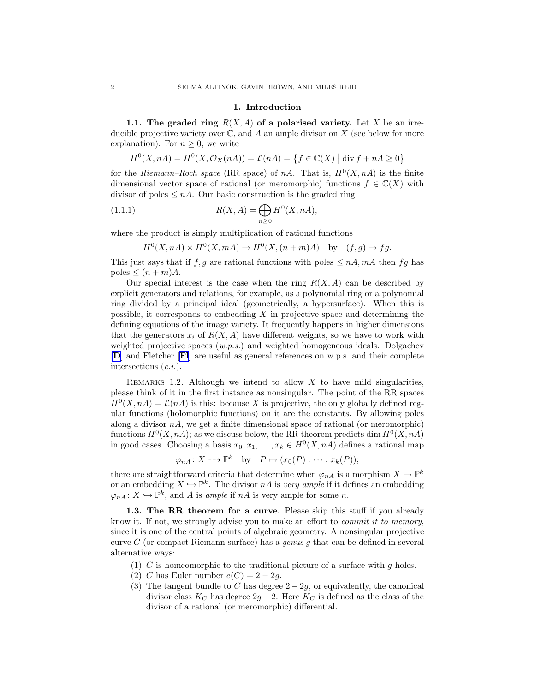#### 1. Introduction

<span id="page-2-0"></span>1.1. The graded ring  $R(X, A)$  of a polarised variety. Let X be an irreducible projective variety over  $\mathbb C$ , and A an ample divisor on X (see below for more explanation). For  $n \geq 0$ , we write

$$
H^{0}(X, nA) = H^{0}(X, \mathcal{O}_{X}(nA)) = \mathcal{L}(nA) = \{f \in \mathbb{C}(X) \mid \operatorname{div} f + nA \ge 0\}
$$

for the *Riemann–Roch space* (RR space) of nA. That is,  $H^0(X, nA)$  is the finite dimensional vector space of rational (or meromorphic) functions  $f \in \mathbb{C}(X)$  with divisor of poles  $\leq nA$ . Our basic construction is the graded ring

(1.1.1) 
$$
R(X, A) = \bigoplus_{n \ge 0} H^{0}(X, nA),
$$

where the product is simply multiplication of rational functions

$$
H^0(X, nA) \times H^0(X, mA) \to H^0(X, (n+m)A) \quad \text{by} \quad (f, g) \mapsto fg.
$$

This just says that if f, g are rational functions with poles  $\leq nA$ ,  $mA$  then fg has poles  $\leq (n+m)A$ .

Our special interest is the case when the ring  $R(X, A)$  can be described by explicit generators and relations, for example, as a polynomial ring or a polynomial ring divided by a principal ideal (geometrically, a hypersurface). When this is possible, it corresponds to embedding X in projective space and determining the defining equations of the image variety. It frequently happens in higher dimensions that the generators  $x_i$  of  $R(X, A)$  have different weights, so we have to work with weighted projective spaces  $(w.p.s.)$  and weighted homogeneous ideals. Dolgachev [[D](#page-27-0)] and Fletcher [[Fl](#page-27-0)] are useful as general references on w.p.s. and their complete intersections  $(c.i.).$ 

REMARKS 1.2. Although we intend to allow X to have mild singularities, please think of it in the first instance as nonsingular. The point of the RR spaces  $H^0(X, nA) = \mathcal{L}(nA)$  is this: because X is projective, the only globally defined regular functions (holomorphic functions) on it are the constants. By allowing poles along a divisor  $nA$ , we get a finite dimensional space of rational (or meromorphic) functions  $H^0(X, nA)$ ; as we discuss below, the RR theorem predicts dim  $H^0(X, nA)$ in good cases. Choosing a basis  $x_0, x_1, \ldots, x_k \in H^0(X, n)$  defines a rational map

$$
\varphi_{nA} \colon X \dashrightarrow \mathbb{P}^k
$$
 by  $P \mapsto (x_0(P) : \dots : x_k(P));$ 

there are straightforward criteria that determine when  $\varphi_{nA}$  is a morphism  $X \to \mathbb{P}^k$ or an embedding  $X \hookrightarrow \mathbb{P}^k$ . The divisor nA is very ample if it defines an embedding  $\varphi_{nA} : X \hookrightarrow \mathbb{P}^k$ , and A is ample if  $nA$  is very ample for some n.

1.3. The RR theorem for a curve. Please skip this stuff if you already know it. If not, we strongly advise you to make an effort to commit it to memory, since it is one of the central points of algebraic geometry. A nonsingular projective curve  $C$  (or compact Riemann surface) has a *genus g* that can be defined in several alternative ways:

- (1) C is homeomorphic to the traditional picture of a surface with  $q$  holes.
- (2) C has Euler number  $e(C) = 2 2g$ .
- (3) The tangent bundle to C has degree  $2 2g$ , or equivalently, the canonical divisor class  $K_C$  has degree  $2g - 2$ . Here  $K_C$  is defined as the class of the divisor of a rational (or meromorphic) differential.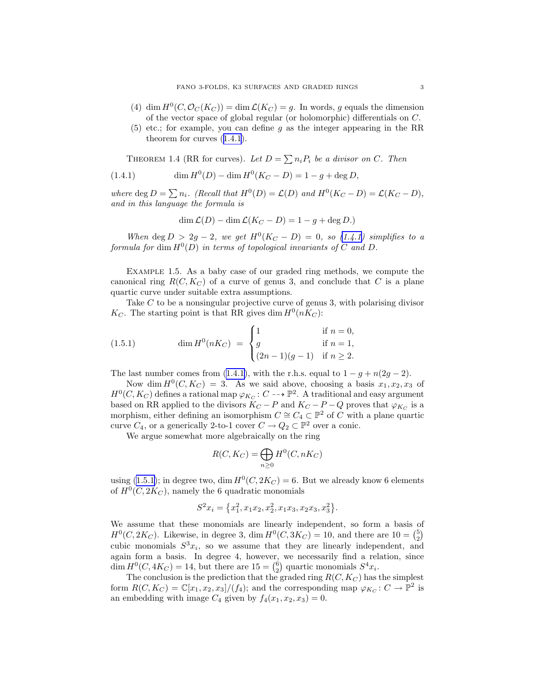- <span id="page-3-0"></span>(4) dim  $H^0(C, \mathcal{O}_C(K_C)) = \dim \mathcal{L}(K_C) = g$ . In words, g equals the dimension of the vector space of global regular (or holomorphic) differentials on C.
- (5) etc.; for example, you can define g as the integer appearing in the RR theorem for curves([1.4.1](#page-2-0)).

THEOREM 1.4 (RR for curves). Let  $D = \sum n_i P_i$  be a divisor on C. Then

(1.4.1) 
$$
\dim H^{0}(D) - \dim H^{0}(K_{C} - D) = 1 - g + \deg D,
$$

where deg  $D = \sum n_i$ . (Recall that  $H^0(D) = \mathcal{L}(D)$  and  $H^0(K_C - D) = \mathcal{L}(K_C - D)$ , and in this language the formula is

$$
\dim \mathcal{L}(D) - \dim \mathcal{L}(K_C - D) = 1 - g + \deg D.
$$

When deg  $D > 2g - 2$ , we get  $H^0(K_C - D) = 0$ , so [\(1.4.1\)](#page-2-0) simplifies to a formula for  $\dim H^0(D)$  in terms of topological invariants of C and D.

Example 1.5. As a baby case of our graded ring methods, we compute the canonical ring  $R(C, K_C)$  of a curve of genus 3, and conclude that C is a plane quartic curve under suitable extra assumptions.

Take C to be a nonsingular projective curve of genus 3, with polarising divisor  $K_C$ . The starting point is that RR gives dim  $H^0(nK_C)$ :

(1.5.1) 
$$
\dim H^{0}(nK_{C}) = \begin{cases} 1 & \text{if } n = 0, \\ g & \text{if } n = 1, \\ (2n - 1)(g - 1) & \text{if } n \ge 2. \end{cases}
$$

The last number comes from [\(1.4.1\)](#page-2-0), with the r.h.s. equal to  $1 - q + n(2q - 2)$ .

Now dim  $H^0(C, K_C) = 3$ . As we said above, choosing a basis  $x_1, x_2, x_3$  of  $H^0(C, K_C)$  defines a rational map  $\varphi_{K_C}: C \dashrightarrow \mathbb{P}^2$ . A traditional and easy argument based on RR applied to the divisors  $K_C - P$  and  $K_C - P - Q$  proves that  $\varphi_{K_C}$  is a morphism, either defining an isomorphism  $C \cong C_4 \subset \mathbb{P}^2$  of C with a plane quartic curve  $C_4$ , or a generically 2-to-1 cover  $C \to Q_2 \subset \mathbb{P}^2$  over a conic.

We argue somewhat more algebraically on the ring

$$
R(C, K_C) = \bigoplus_{n \ge 0} H^0(C, nK_C)
$$

using [\(1.5.1\)](#page-2-0); in degree two, dim  $H^0(C, 2K_C) = 6$ . But we already know 6 elements of  $H^0(C, 2K_C)$ , namely the 6 quadratic monomials

$$
S^2x_i = \left\{x_1^2, x_1x_2, x_2^2, x_1x_3, x_2x_3, x_3^2\right\}.
$$

We assume that these monomials are linearly independent, so form a basis of  $H^0(C, 2K_C)$ . Likewise, in degree 3, dim  $H^0(C, 3K_C) = 10$ , and there are  $10 = {5 \choose 2}$ cubic monomials  $S^3x_i$ , so we assume that they are linearly independent, and again form a basis. In degree 4, however, we necessarily find a relation, since dim  $H^0(C, 4K_C) = 14$ , but there are  $15 = {6 \choose 2}$  quartic monomials  $S^4x_i$ .

The conclusion is the prediction that the graded ring  $R(C, K_C)$  has the simplest form  $R(C, K_C) = \mathbb{C}[x_1, x_2, x_3]/(f_4)$ ; and the corresponding map  $\varphi_{K_C} : C \to \mathbb{P}^2$  is an embedding with image  $C_4$  given by  $f_4(x_1, x_2, x_3) = 0$ .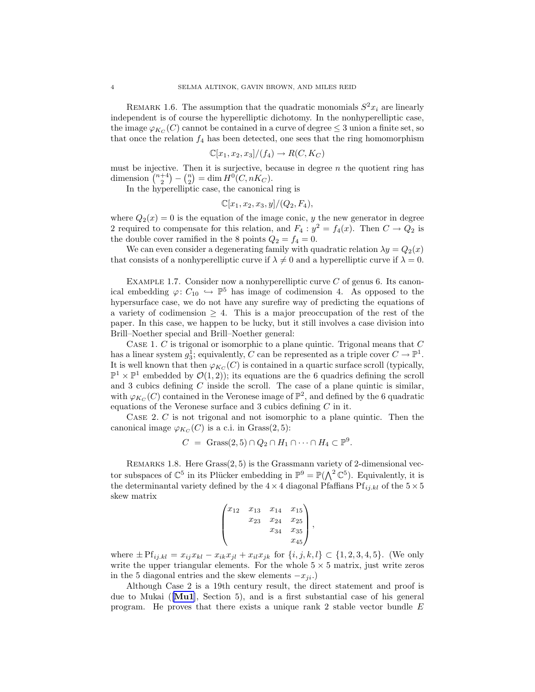<span id="page-4-0"></span>REMARK 1.6. The assumption that the quadratic monomials  $S^2x_i$  are linearly independent is of course the hyperelliptic dichotomy. In the nonhyperelliptic case, the image  $\varphi_{K_C}(C)$  cannot be contained in a curve of degree  $\leq 3$  union a finite set, so that once the relation  $f_4$  has been detected, one sees that the ring homomorphism

$$
\mathbb{C}[x_1, x_2, x_3]/(f_4) \to R(C, K_C)
$$

must be injective. Then it is surjective, because in degree  $n$  the quotient ring has dimension  $\binom{n+4}{2} - \binom{n}{2} = \dim H^0(C, nK_C)$ .

In the hyperelliptic case, the canonical ring is

$$
\mathbb{C}[x_1, x_2, x_3, y]/(Q_2, F_4),
$$

where  $Q_2(x) = 0$  is the equation of the image conic, y the new generator in degree 2 required to compensate for this relation, and  $F_4: y^2 = f_4(x)$ . Then  $C \to Q_2$  is the double cover ramified in the 8 points  $Q_2 = f_4 = 0$ .

We can even consider a degenerating family with quadratic relation  $\lambda y = Q_2(x)$ that consists of a nonhyperelliptic curve if  $\lambda \neq 0$  and a hyperelliptic curve if  $\lambda = 0$ .

EXAMPLE 1.7. Consider now a nonhyperelliptic curve  $C$  of genus 6. Its canonical embedding  $\varphi: C_{10} \hookrightarrow \mathbb{P}^5$  has image of codimension 4. As opposed to the hypersurface case, we do not have any surefire way of predicting the equations of a variety of codimension  $\geq$  4. This is a major preoccupation of the rest of the paper. In this case, we happen to be lucky, but it still involves a case division into Brill–Noether special and Brill–Noether general:

CASE 1.  $C$  is trigonal or isomorphic to a plane quintic. Trigonal means that  $C$ has a linear system  $g_3^1$ ; equivalently, C can be represented as a triple cover  $C \to \mathbb{P}^1$ . It is well known that then  $\varphi_{K_C}(C)$  is contained in a quartic surface scroll (typically,  $\mathbb{P}^1 \times \mathbb{P}^1$  embedded by  $\mathcal{O}(1,2)$ ; its equations are the 6 quadrics defining the scroll and 3 cubics defining  $C$  inside the scroll. The case of a plane quintic is similar, with  $\varphi_{K_C}(C)$  contained in the Veronese image of  $\mathbb{P}^2$ , and defined by the 6 quadratic equations of the Veronese surface and  $3$  cubics defining  $C$  in it.

Case 2. C is not trigonal and not isomorphic to a plane quintic. Then the canonical image  $\varphi_{K_C}(C)$  is a c.i. in Grass(2,5):

$$
C = \text{Grass}(2,5) \cap Q_2 \cap H_1 \cap \dots \cap H_4 \subset \mathbb{P}^9.
$$

REMARKS 1.8. Here  $Grass(2, 5)$  is the Grassmann variety of 2-dimensional vector subspaces of  $\mathbb{C}^5$  in its Plücker embedding in  $\mathbb{P}^9 = \mathbb{P}(\bigwedge^2 \mathbb{C}^5)$ . Equivalently, it is the determinantal variety defined by the  $4 \times 4$  diagonal Pfaffians Pf<sub>ij.kl</sub> of the  $5 \times 5$ skew matrix

$$
\begin{pmatrix} x_{12} & x_{13} & x_{14} & x_{15} \\ x_{23} & x_{24} & x_{25} \\ x_{34} & x_{35} & x_{45} \end{pmatrix},
$$

where  $\pm \text{Pf}_{ij,kl} = x_{ij}x_{kl} - x_{ik}x_{jl} + x_{il}x_{jk}$  for  $\{i, j, k, l\} \subset \{1, 2, 3, 4, 5\}$ . (We only write the upper triangular elements. For the whole  $5 \times 5$  matrix, just write zeros in the 5 diagonal entries and the skew elements  $-x_{ji}$ .)

Although Case 2 is a 19th century result, the direct statement and proof is due to Mukai ( $\text{[Mul]}$ , Section 5), and is a first substantial case of his general program. He proves that there exists a unique rank 2 stable vector bundle E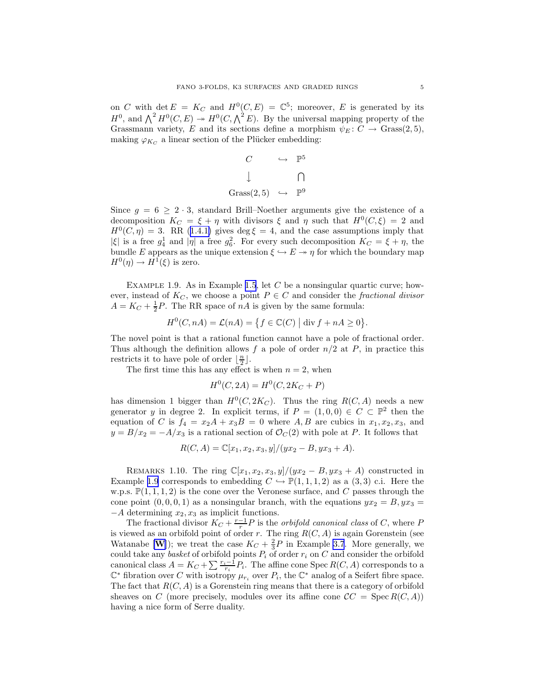<span id="page-5-0"></span>on C with  $\det E = K_C$  and  $H^0(C, E) = \mathbb{C}^5$ ; moreover, E is generated by its  $H^0$ , and  $\bigwedge^2 H^0(C, E) \to H^0(C, \bigwedge^2 E)$ . By the universal mapping property of the Grassmann variety, E and its sections define a morphism  $\psi_E: C \to \text{Grass}(2, 5)$ , making  $\varphi_{K_C}$  a linear section of the Plücker embedding:

$$
C \qquad \hookrightarrow \qquad \mathbb{P}^5
$$
  

$$
\downarrow \qquad \qquad \bigcap
$$
  
Grass(2,5) \qquad \hookrightarrow \qquad \mathbb{P}^9

Since  $g = 6 \geq 2 \cdot 3$ , standard Brill–Noether arguments give the existence of a decomposition  $K_C = \xi + \eta$  with divisors  $\xi$  and  $\eta$  such that  $H^0(C,\xi) = 2$  and  $H^0(C, \eta) = 3$  $H^0(C, \eta) = 3$  $H^0(C, \eta) = 3$ . RR ([1.4.1\)](#page-2-0) gives deg  $\xi = 4$ , and the case assumptions imply that |ξ| is a free  $g_4^1$  and  $|\eta|$  a free  $g_6^2$ . For every such decomposition  $K_C = \xi + \eta$ , the bundle E appears as the unique extension  $\xi \hookrightarrow E \rightarrow \eta$  for which the boundary map  $H^0(\eta) \to H^1(\xi)$  is zero.

EXAMPLE 1.9. As in Example [1.5](#page-2-0), let C be a nonsingular quartic curve; however, instead of  $K_C$ , we choose a point  $P \in C$  and consider the fractional divisor  $A = K_C + \frac{1}{2}P$ . The RR space of  $nA$  is given by the same formula:

$$
H^{0}(C, nA) = \mathcal{L}(nA) = \{ f \in \mathbb{C}(C) \mid \text{div } f + nA \ge 0 \}.
$$

The novel point is that a rational function cannot have a pole of fractional order. Thus although the definition allows f a pole of order  $n/2$  at P, in practice this restricts it to have pole of order  $\lfloor \frac{n}{2} \rfloor$ .

The first time this has any effect is when  $n = 2$ , when

$$
H^0(C, 2A) = H^0(C, 2K_C + P)
$$

has dimension 1 bigger than  $H^0(C, 2K_C)$ . Thus the ring  $R(C, A)$  needs a new generator y in degree 2. In explicit terms, if  $P = (1,0,0) \in C \subset \mathbb{P}^2$  then the equation of C is  $f_4 = x_2A + x_3B = 0$  where A, B are cubics in  $x_1, x_2, x_3$ , and  $y = B/x_2 = -A/x_3$  is a rational section of  $\mathcal{O}_C(2)$  with pole at P. It follows that

$$
R(C, A) = \mathbb{C}[x_1, x_2, x_3, y]/(yx_2 - B, yx_3 + A).
$$

REMARKS 1.10. The ring  $\mathbb{C}[x_1, x_2, x_3, y]/(yx_2 - B, yx_3 + A)$  constructed in Example [1.9](#page-4-0) corresponds to embedding  $C \hookrightarrow \mathbb{P}(1, 1, 1, 2)$  as a  $(3, 3)$  c.i. Here the w.p.s.  $\mathbb{P}(1,1,1,2)$  is the cone over the Veronese surface, and C passes through the cone point  $(0, 0, 0, 1)$  as a nonsingular branch, with the equations  $yx_2 = B$ ,  $yx_3 =$  $-A$  determining  $x_2, x_3$  as implicit functions.

The fractional divisor  $K_C + \frac{r-1}{r}P$  is the *orbifold canonical class* of C, where P is viewed as an orbifold point of order r. The ring  $R(C, A)$  is again Gorenstein (see [W](#page-28-0)atanabe [**W**]); we treat the case  $K_C + \frac{2}{3}P$  in Example [3.7](#page-9-0). More generally, we could take any basket of orbifold points  $P_i$  of order  $r_i$  on C and consider the orbifold canonical class  $A = K_C + \sum_{i} \frac{r_i - 1}{r_i} P_i$ . The affine cone Spec  $R(C, A)$  corresponds to a  $\mathbb{C}^*$  fibration over C with isotropy  $\mu_{r_i}$  over  $P_i$ , the  $\mathbb{C}^*$  analog of a Seifert fibre space. The fact that  $R(C, A)$  is a Gorenstein ring means that there is a category of orbifold sheaves on C (more precisely, modules over its affine cone  $\mathcal{C}C = \text{Spec } R(C, A)$ ) having a nice form of Serre duality.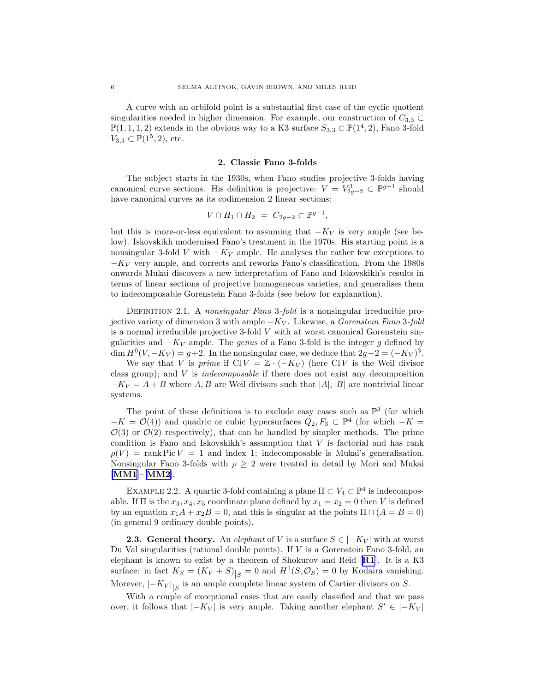<span id="page-6-0"></span>A curve with an orbifold point is a substantial first case of the cyclic quotient singularities needed in higher dimension. For example, our construction of  $C_{3,3} \subset$  $\mathbb{P}(1,1,1,2)$  extends in the obvious way to a K3 surface  $S_{3,3} \subset \mathbb{P}(1^4,2)$ , Fano 3-fold  $V_{3,3} \subset \mathbb{P}(1^5, 2)$ , etc.

#### 2. Classic Fano 3-folds

The subject starts in the 1930s, when Fano studies projective 3-folds having canonical curve sections. His definition is projective:  $V = V_{2g-2}^3 \subset \mathbb{P}^{g+1}$  should have canonical curves as its codimension 2 linear sections:

$$
V \cap H_1 \cap H_2 = C_{2g-2} \subset \mathbb{P}^{g-1},
$$

but this is more-or-less equivalent to assuming that  $-K_V$  is very ample (see below). Iskovskikh modernised Fano's treatment in the 1970s. His starting point is a nonsingular 3-fold V with  $-K_V$  ample. He analyses the rather few exceptions to  $-K_V$  very ample, and corrects and reworks Fano's classification. From the 1980s onwards Mukai discovers a new interpretation of Fano and Iskovskikh's results in terms of linear sections of projective homogeneous varieties, and generalises them to indecomposable Gorenstein Fano 3-folds (see below for explanation).

DEFINITION 2.1. A nonsingular Fano 3-fold is a nonsingular irreducible projective variety of dimension 3 with ample  $-K_V$ . Likewise, a Gorenstein Fano 3-fold is a normal irreducible projective 3-fold  $V$  with at worst canonical Gorenstein singularities and  $-K_V$  ample. The *genus* of a Fano 3-fold is the integer g defined by  $\dim H^0(V, -K_V) = g+2$ . In the nonsingular case, we deduce that  $2g-2 = (-K_V)^3$ .

We say that V is prime if  $\text{Cl } V = \mathbb{Z} \cdot (-K_V)$  (here  $\text{Cl } V$  is the Weil divisor class group); and V is indecomposable if there does not exist any decomposition  $-K_V = A + B$  where A, B are Weil divisors such that  $|A|, |B|$  are nontrivial linear systems.

The point of these definitions is to exclude easy cases such as  $\mathbb{P}^3$  (for which  $-K = \mathcal{O}(4)$  and quadric or cubic hypersurfaces  $Q_2, F_3 \subset \mathbb{P}^4$  (for which  $-K =$  $\mathcal{O}(3)$  or  $\mathcal{O}(2)$  respectively), that can be handled by simpler methods. The prime condition is Fano and Iskovskikh's assumption that  $V$  is factorial and has rank  $\rho(V)$  = rank Pic  $V = 1$  and index 1; indecomposable is Mukai's generalisation. Nonsingular Fano 3-folds with  $\rho \geq 2$  were treated in detail by Mori and Mukai [[MM1](#page-27-0)]–[[MM2](#page-27-0)].

EXAMPLE 2.2. A quartic 3-fold containing a plane  $\Pi \subset V_4 \subset \mathbb{P}^4$  is indecomposable. If  $\Pi$  is the  $x_3, x_4, x_5$  coordinate plane defined by  $x_1 = x_2 = 0$  then V is defined by an equation  $x_1A + x_2B = 0$ , and this is singular at the points  $\Pi \cap (A = B = 0)$ (in general 9 ordinary double points).

**2.3. General theory.** An elephant of V is a surface  $S \in |-K_V|$  with at worst Du Val singularities (rational double points). If V is a Gorenstein Fano 3-fold, an elephant is known to exist by a theorem of Shokurov and Reid  $[\mathbf{R1}]$  $[\mathbf{R1}]$  $[\mathbf{R1}]$ . It is a K3 surface: in fact  $K_S = (K_V + S)|_S = 0$  and  $H^1(S, \mathcal{O}_S) = 0$  by Kodaira vanishing. Morever,  $|-K_V|_{|S}$  is an ample complete linear system of Cartier divisors on S.

With a couple of exceptional cases that are easily classified and that we pass over, it follows that  $|-K_V|$  is very ample. Taking another elephant  $S' \in |-K_V|$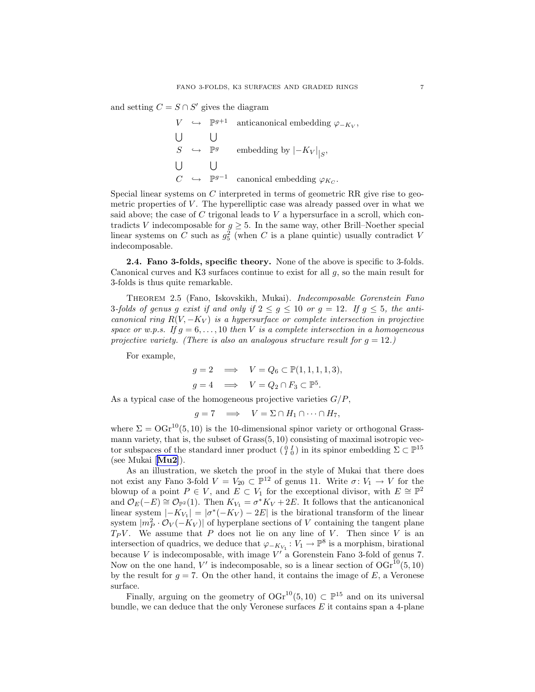<span id="page-7-0"></span>and setting  $C = S \cap S'$  gives the diagram

$$
V \leftrightarrow \mathbb{P}^{g+1} \text{ anticanonical embedding } \varphi_{-K_V},
$$
  
\n
$$
\bigcup_{S} \bigcup_{\mathbb{P}^g} \text{embedding by } |-K_V|_{|S},
$$
  
\n
$$
\bigcup_{C} \bigcup_{\mathbb{P}^{g-1}} \text{ canonical embedding } \varphi_{K_C}.
$$

Special linear systems on C interpreted in terms of geometric RR give rise to geometric properties of  $V$ . The hyperelliptic case was already passed over in what we said above; the case of  $C$  trigonal leads to  $V$  a hypersurface in a scroll, which contradicts V indecomposable for  $g \geq 5$ . In the same way, other Brill–Noether special linear systems on C such as  $g_5^2$  (when C is a plane quintic) usually contradict V indecomposable.

2.4. Fano 3-folds, specific theory. None of the above is specific to 3-folds. Canonical curves and K3 surfaces continue to exist for all  $g$ , so the main result for 3-folds is thus quite remarkable.

Theorem 2.5 (Fano, Iskovskikh, Mukai). Indecomposable Gorenstein Fano 3-folds of genus g exist if and only if  $2 \le g \le 10$  or  $g = 12$ . If  $g \le 5$ , the anticanonical ring  $R(V, -K_V)$  is a hypersurface or complete intersection in projective space or w.p.s. If  $q = 6, \ldots, 10$  then V is a complete intersection in a homogeneous projective variety. (There is also an analogous structure result for  $g = 12$ .)

For example,

$$
g = 2 \implies V = Q_6 \subset \mathbb{P}(1, 1, 1, 1, 3),
$$
  

$$
g = 4 \implies V = Q_2 \cap F_3 \subset \mathbb{P}^5.
$$

As a typical case of the homogeneous projective varieties  $G/P$ ,

$$
g=7 \quad \Longrightarrow \quad V=\Sigma\cap H_1\cap \cdots \cap H_7,
$$

where  $\Sigma = \text{OGr}^{10}(5, 10)$  is the 10-dimensional spinor variety or orthogonal Grassmann variety, that is, the subset of Grass(5, 10) consisting of maximal isotropic vector subspaces of the standard inner product  $(\begin{smallmatrix} 0 & I \\ I & 0 \end{smallmatrix})$  in its spinor embedding  $\Sigma \subset \mathbb{P}^{15}$ (see Mukai [[Mu2](#page-27-0)]).

As an illustration, we sketch the proof in the style of Mukai that there does not exist any Fano 3-fold  $V = V_{20} \subset \mathbb{P}^{12}$  of genus 11. Write  $\sigma: V_1 \to V$  for the blowup of a point  $P \in V$ , and  $E \subset V_1$  for the exceptional divisor, with  $E \cong \mathbb{P}^2$ and  $\mathcal{O}_E(-E) \cong \mathcal{O}_{\mathbb{P}^2}(1)$ . Then  $K_{V_1} = \sigma^* K_V + 2E$ . It follows that the anticanonical linear system  $|-K_{V_1}| = |\sigma^*(-K_V) - 2E|$  is the birational transform of the linear system  $|m_P^2 \cdot \mathcal{O}_V(-K_V)|$  of hyperplane sections of V containing the tangent plane  $T_P V$ . We assume that P does not lie on any line of V. Then since V is an intersection of quadrics, we deduce that  $\varphi_{-K_{V_1}}: V_1 \to \mathbb{P}^8$  is a morphism, birational because  $V$  is indecomposable, with image  $V'$  a Gorenstein Fano 3-fold of genus 7. Now on the one hand, V' is indecomposable, so is a linear section of  $OGr^{10}(5, 10)$ by the result for  $g = 7$ . On the other hand, it contains the image of E, a Veronese surface.

Finally, arguing on the geometry of  $OGr^{10}(5, 10) \subset \mathbb{P}^{15}$  and on its universal bundle, we can deduce that the only Veronese surfaces  $E$  it contains span a 4-plane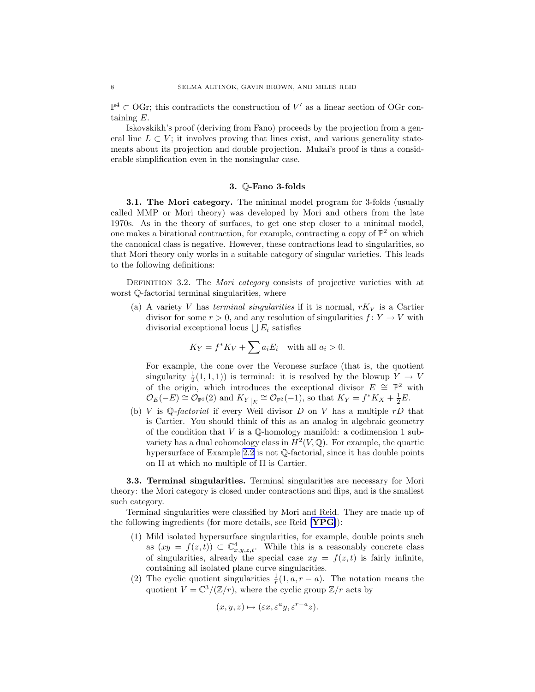<span id="page-8-0"></span> $\mathbb{P}^4$  ⊂ OGr; this contradicts the construction of V' as a linear section of OGr containing E.

Iskovskikh's proof (deriving from Fano) proceeds by the projection from a general line  $L \subset V$ ; it involves proving that lines exist, and various generality statements about its projection and double projection. Mukai's proof is thus a considerable simplification even in the nonsingular case.

#### 3. Q-Fano 3-folds

**3.1. The Mori category.** The minimal model program for 3-folds (usually called MMP or Mori theory) was developed by Mori and others from the late 1970s. As in the theory of surfaces, to get one step closer to a minimal model, one makes a birational contraction, for example, contracting a copy of  $\mathbb{P}^2$  on which the canonical class is negative. However, these contractions lead to singularities, so that Mori theory only works in a suitable category of singular varieties. This leads to the following definitions:

DEFINITION 3.2. The Mori category consists of projective varieties with at worst Q-factorial terminal singularities, where

(a) A variety V has terminal singularities if it is normal,  $rK_V$  is a Cartier divisor for some  $r > 0$ , and any resolution of singularities  $f: Y \to V$  with divisorial exceptional locus  $\bigcup E_i$  satisfies

$$
K_Y = f^* K_V + \sum a_i E_i \quad \text{with all } a_i > 0.
$$

For example, the cone over the Veronese surface (that is, the quotient singularity  $\frac{1}{2}(1,1,1)$  is terminal: it is resolved by the blowup  $Y \to V$ of the origin, which introduces the exceptional divisor  $E \cong \mathbb{P}^2$  with  $\mathcal{O}_E(-E) \cong \mathcal{O}_{\mathbb{P}^2}(2)$  and  $K_{Y|E} \cong \mathcal{O}_{\mathbb{P}^2}(-1)$ , so that  $K_Y = f^*K_X + \frac{1}{2}E$ .

(b) V is Q-factorial if every Weil divisor D on V has a multiple  $rD$  that is Cartier. You should think of this as an analog in algebraic geometry of the condition that  $V$  is a  $\mathbb Q$ -homology manifold: a codimension 1 subvariety has a dual cohomology class in  $H^2(V, \mathbb{Q})$ . For example, the quartic hypersurface of Example [2.2](#page-5-0) is not  $\mathbb{O}$ -factorial, since it has double points on Π at which no multiple of Π is Cartier.

3.3. Terminal singularities. Terminal singularities are necessary for Mori theory: the Mori category is closed under contractions and flips, and is the smallest such category.

Terminal singularities were classified by Mori and Reid. They are made up of the following ingredients (for more details, see Reid [[YPG](#page-28-0)]):

- (1) Mild isolated hypersurface singularities, for example, double points such as  $(xy = f(z, t)) \subset \mathbb{C}_{x,y,z,t}^4$ . While this is a reasonably concrete class of singularities, already the special case  $xy = f(z, t)$  is fairly infinite, containing all isolated plane curve singularities.
- (2) The cyclic quotient singularities  $\frac{1}{r}(1, a, r a)$ . The notation means the quotient  $V = \mathbb{C}^3/(\mathbb{Z}/r)$ , where the cyclic group  $\mathbb{Z}/r$  acts by

$$
(x, y, z) \mapsto (\varepsilon x, \varepsilon^a y, \varepsilon^{r-a} z).
$$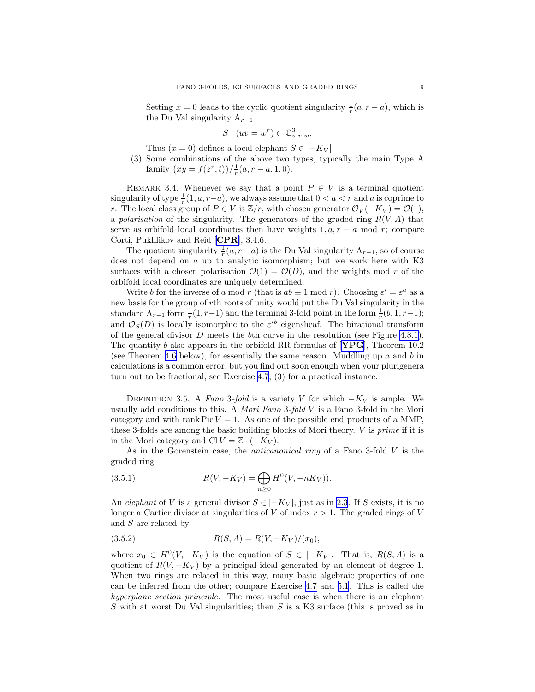<span id="page-9-0"></span>Setting  $x = 0$  leads to the cyclic quotient singularity  $\frac{1}{r}(a, r - a)$ , which is the Du Val singularity  $A_{r-1}$ 

$$
S: (uv = w^r) \subset \mathbb{C}^3_{u,v,w}.
$$

Thus  $(x = 0)$  defines a local elephant  $S \in |-K_V|$ .

(3) Some combinations of the above two types, typically the main Type A family  $(xy = f(z^r, t))/\frac{1}{r}(a, r - a, 1, 0).$ 

REMARK 3.4. Whenever we say that a point  $P \in V$  is a terminal quotient singularity of type  $\frac{1}{r}(1, a, r-a)$ , we always assume that  $0 < a < r$  and a is coprime to r. The local class group of  $P \in V$  is  $\mathbb{Z}/r$ , with chosen generator  $\mathcal{O}_V(-K_V) = \mathcal{O}(1)$ , a polarisation of the singularity. The generators of the graded ring  $R(V, A)$  that serve as orbifold local coordinates then have weights  $1, a, r - a \mod r$ ; compare Corti, Pukhlikov and Reid [[CPR](#page-27-0)], 3.4.6.

The quotient singularity  $\frac{1}{r}(a, r-a)$  is the Du Val singularity  $A_{r-1}$ , so of course does not depend on a up to analytic isomorphism; but we work here with K3 surfaces with a chosen polarisation  $\mathcal{O}(1) = \mathcal{O}(D)$ , and the weights mod r of the orbifold local coordinates are uniquely determined.

Write b for the inverse of a mod r (that is  $ab \equiv 1 \mod r$ ). Choosing  $\varepsilon' = \varepsilon^a$  as a new basis for the group of rth roots of unity would put the Du Val singularity in the standard  $A_{r-1}$  form  $\frac{1}{r}(1,r-1)$  and the terminal 3-fold point in the form  $\frac{1}{r}(b,1,r-1)$ ; and  $\mathcal{O}_S(D)$  is locally isomorphic to the  $\varepsilon'^b$  eigensheaf. The birational transform of the general divisor  $D$  meets the bth curve in the resolution (see Figure [4.8.1\)](#page-14-0). The quantity b also appears in the orbifold RR formulas of  $[\text{YPG}]$  $[\text{YPG}]$  $[\text{YPG}]$ , Theorem 10.2 (see Theorem [4.6](#page-11-0) below), for essentially the same reason. Muddling up  $a$  and  $b$  in calculations is a common error, but you find out soon enough when your plurigenera turn out to be fractional; see Exercise [4.7,](#page-12-0) (3) for a practical instance.

DEFINITION 3.5. A Fano 3-fold is a variety V for which  $-K_V$  is ample. We usually add conditions to this. A *Mori Fano* 3-fold  $V$  is a Fano 3-fold in the Mori category and with rank Pic  $V = 1$ . As one of the possible end products of a MMP, these 3-folds are among the basic building blocks of Mori theory. V is prime if it is in the Mori category and Cl  $V = \mathbb{Z} \cdot (-K_V)$ .

As in the Gorenstein case, the *anticanonical ring* of a Fano 3-fold V is the graded ring

(3.5.1) 
$$
R(V, -K_V) = \bigoplus_{n \geq 0} H^0(V, -nK_V)).
$$

An elephant of V is a general divisor  $S \in |-K_V|$ , just as in [2.3](#page-5-0). If S exists, it is no longer a Cartier divisor at singularities of V of index  $r > 1$ . The graded rings of V and S are related by

$$
(3.5.2) \t R(S, A) = R(V, -K_V)/(x_0),
$$

where  $x_0 \in H^0(V, -K_V)$  is the equation of  $S \in |-K_V|$ . That is,  $R(S, A)$  is a quotient of  $R(V, -K_V)$  by a principal ideal generated by an element of degree 1. When two rings are related in this way, many basic algebraic properties of one can be inferred from the other; compare Exercise [4.7](#page-12-0) and [5.1](#page-16-0). This is called the hyperplane section principle. The most useful case is when there is an elephant S with at worst Du Val singularities; then S is a K3 surface (this is proved as in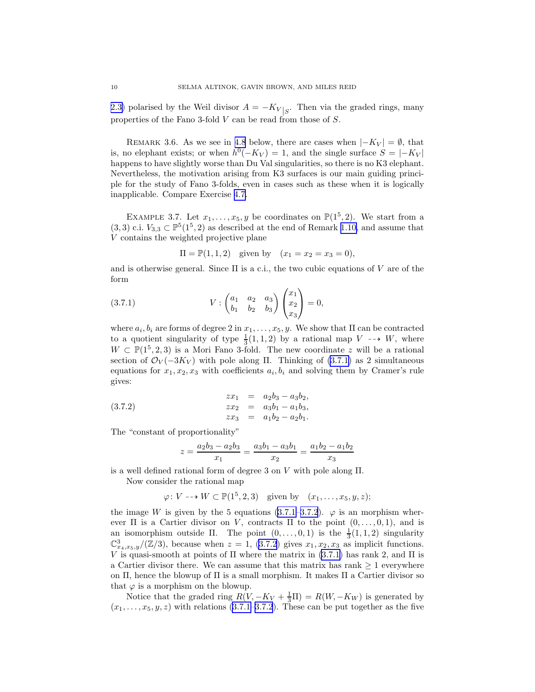<span id="page-10-0"></span>[2.3\)](#page-5-0) polarised by the Weil divisor  $A = -K_{V}|_{S}$ . Then via the graded rings, many properties of the Fano 3-fold V can be read from those of S.

REMARK 3.6. As we see in [4.8](#page-13-0) below, there are cases when  $|-K_V| = \emptyset$ , that is, no elephant exists; or when  $h^0(-K_V) = 1$ , and the single surface  $S = |-K_V|$ happens to have slightly worse than Du Val singularities, so there is no K3 elephant. Nevertheless, the motivation arising from K3 surfaces is our main guiding principle for the study of Fano 3-folds, even in cases such as these when it is logically inapplicable. Compare Exercise [4.7.](#page-12-0)

EXAMPLE 3.7. Let  $x_1, \ldots, x_5, y$  be coordinates on  $\mathbb{P}(1^5, 2)$ . We start from a  $(3,3)$  c.i.  $V_{3,3} \subset \mathbb{P}^5(1^5,2)$  as described at the end of Remark [1.10,](#page-4-0) and assume that V contains the weighted projective plane

$$
\Pi = \mathbb{P}(1, 1, 2)
$$
 given by  $(x_1 = x_2 = x_3 = 0)$ ,

and is otherwise general. Since  $\Pi$  is a c.i., the two cubic equations of V are of the form

(3.7.1) 
$$
V: \begin{pmatrix} a_1 & a_2 & a_3 \\ b_1 & b_2 & b_3 \end{pmatrix} \begin{pmatrix} x_1 \\ x_2 \\ x_3 \end{pmatrix} = 0,
$$

where  $a_i, b_i$  are forms of degree 2 in  $x_1, \ldots, x_5, y$ . We show that  $\Pi$  can be contracted to a quotient singularity of type  $\frac{1}{3}(1,1,2)$  by a rational map  $V \dashrightarrow W$ , where  $W \subset \mathbb{P}(1^5, 2, 3)$  is a Mori Fano 3-fold. The new coordinate z will be a rational section of  $\mathcal{O}_V(-3K_V)$  with pole along Π. Thinking of [\(3.7.1\)](#page-9-0) as 2 simultaneous equations for  $x_1, x_2, x_3$  with coefficients  $a_i, b_i$  and solving them by Cramer's rule gives:

(3.7.2) 
$$
\begin{array}{rcl}\nzx_1 & = & a_2b_3 - a_3b_2, \\
zx_2 & = & a_3b_1 - a_1b_3, \\
zx_3 & = & a_1b_2 - a_2b_1.\n\end{array}
$$

The "constant of proportionality"

$$
z = \frac{a_2b_3 - a_2b_3}{x_1} = \frac{a_3b_1 - a_3b_1}{x_2} = \frac{a_1b_2 - a_1b_2}{x_3}
$$

is a well defined rational form of degree 3 on  $V$  with pole along  $\Pi$ .

Now consider the rational map

 $\varphi: V \dashrightarrow W \subset \mathbb{P}(1^5, 2, 3)$  given by  $(x_1, \ldots, x_5, y, z);$ 

theimage W is given by the 5 equations ([3.7.1–3.7.2](#page-9-0)).  $\varphi$  is an morphism wherever  $\Pi$  is a Cartier divisor on V, contracts  $\Pi$  to the point  $(0, \ldots, 0, 1)$ , and is an isomorphism outside  $\Pi$ . The point  $(0, \ldots, 0, 1)$  is the  $\frac{1}{3}(1, 1, 2)$  singularity  $\mathbb{C}_{x_4,x_5,y}^3/(\mathbb{Z}/3)$ , because when  $z=1$ , [\(3.7.2](#page-9-0)) gives  $x_1,x_2,x_3$  as implicit functions. V is quasi-smooth at points of  $\Pi$  where the matrix in [\(3.7.1\)](#page-9-0) has rank 2, and  $\Pi$  is a Cartier divisor there. We can assume that this matrix has rank  $\geq 1$  everywhere on  $\Pi$ , hence the blowup of  $\Pi$  is a small morphism. It makes  $\Pi$  a Cartier divisor so that  $\varphi$  is a morphism on the blowup.

Notice that the graded ring  $R(V, -K_V + \frac{1}{3}\Pi) = R(W, -K_W)$  is generated by  $(x_1, \ldots, x_5, y, z)$  with relations [\(3.7.1–3.7.2](#page-9-0)). These can be put together as the five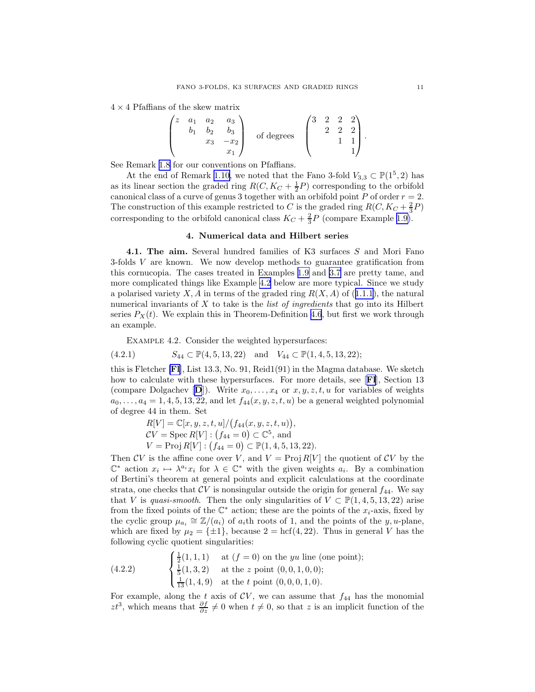<span id="page-11-0"></span> $4 \times 4$  Pfaffians of the skew matrix

| $\boldsymbol{z}$ | a <sub>1</sub> | a <sub>2</sub> | $a_3$ |                       | ٠,<br>IJ | റ |  |  |
|------------------|----------------|----------------|-------|-----------------------|----------|---|--|--|
|                  |                | Jс             |       | $\epsilon$<br>degrees |          | ↶ |  |  |
|                  |                | $x_3$          | $x_2$ |                       |          |   |  |  |
|                  |                |                | w     |                       |          |   |  |  |

See Remark [1.8](#page-3-0) for our conventions on Pfaffians.

At the end of Remark [1.10,](#page-4-0) we noted that the Fano 3-fold  $V_{3,3} \subset \mathbb{P}(1^5, 2)$  has as its linear section the graded ring  $R(C, K_C + \frac{1}{2}P)$  corresponding to the orbifold canonical class of a curve of genus 3 together with an orbifold point P of order  $r = 2$ . The construction of this example restricted to C is the graded ring  $R(C, K_C + \frac{2}{3}P)$ corresponding to the orbifold canonical class  $K_C + \frac{2}{3}P$  (compare Example [1.9\)](#page-4-0).

#### 4. Numerical data and Hilbert series

4.1. The aim. Several hundred families of K3 surfaces S and Mori Fano 3-folds V are known. We now develop methods to guarantee gratification from this cornucopia. The cases treated in Examples [1.9](#page-4-0) and [3.7](#page-9-0) are pretty tame, and more complicated things like Example [4.2](#page-10-0) below are more typical. Since we study apolarised variety  $X, A$  in terms of the graded ring  $R(X, A)$  of ([1.1.1](#page-1-0)), the natural numerical invariants of  $X$  to take is the *list of ingredients* that go into its Hilbert series  $P_X(t)$ . We explain this in Theorem-Definition 4.6, but first we work through an example.

Example 4.2. Consider the weighted hypersurfaces:

$$
(4.2.1) \t S44 \subset \mathbb{P}(4, 5, 13, 22) \text{ and } V44 \subset \mathbb{P}(1, 4, 5, 13, 22);
$$

this is Fletcher [[Fl](#page-27-0)], List 13.3, No. 91, Reid1(91) in the Magma database. We sketch how to calculate with these hypersurfaces. For more details, see [FI], Section 13 (compare [D](#page-27-0)olgachev  $[D]$ ). Write  $x_0, \ldots, x_4$  or  $x, y, z, t, u$  for variables of weights  $a_0, \ldots, a_4 = 1, 4, 5, 13, 22,$  and let  $f_{44}(x, y, z, t, u)$  be a general weighted polynomial of degree 44 in them. Set

> $R[V] = \mathbb{C}[x, y, z, t, u]/(f_{44}(x, y, z, t, u)),$  $CV = \operatorname{Spec} R[V] : (f_{44} = 0) \subset \mathbb{C}^5$ , and  $V = \text{Proj } R[V] : (f_{44} = 0) \subset \mathbb{P}(1, 4, 5, 13, 22).$

Then CV is the affine cone over V, and  $V = \text{Proj } R[V]$  the quotient of CV by the  $\mathbb{C}^*$  action  $x_i \mapsto \lambda^{a_i} x_i$  for  $\lambda \in \mathbb{C}^*$  with the given weights  $a_i$ . By a combination of Bertini's theorem at general points and explicit calculations at the coordinate strata, one checks that  $CV$  is nonsingular outside the origin for general  $f_{44}$ . We say that V is quasi-smooth. Then the only singularities of  $V \subset \mathbb{P}(1, 4, 5, 13, 22)$  arise from the fixed points of the  $\mathbb{C}^*$  action; these are the points of the  $x_i$ -axis, fixed by the cyclic group  $\mu_{a_i} \cong \mathbb{Z}/(a_i)$  of  $a_i$ th roots of 1, and the points of the y, u-plane, which are fixed by  $\mu_2 = {\pm 1}$ , because  $2 = \text{hcf}(4, 22)$ . Thus in general V has the following cyclic quotient singularities:

(4.2.2) 
$$
\begin{cases} \frac{1}{2}(1,1,1) & \text{at } (f = 0) \text{ on the } yu \text{ line (one point)}; \\ \frac{1}{5}(1,3,2) & \text{at the } z \text{ point } (0,0,1,0,0); \\ \frac{1}{13}(1,4,9) & \text{at the } t \text{ point } (0,0,0,1,0). \end{cases}
$$

For example, along the t axis of  $CV$ , we can assume that  $f_{44}$  has the monomial  $zt^3$ , which means that  $\frac{\partial f}{\partial z} \neq 0$  when  $t \neq 0$ , so that z is an implicit function of the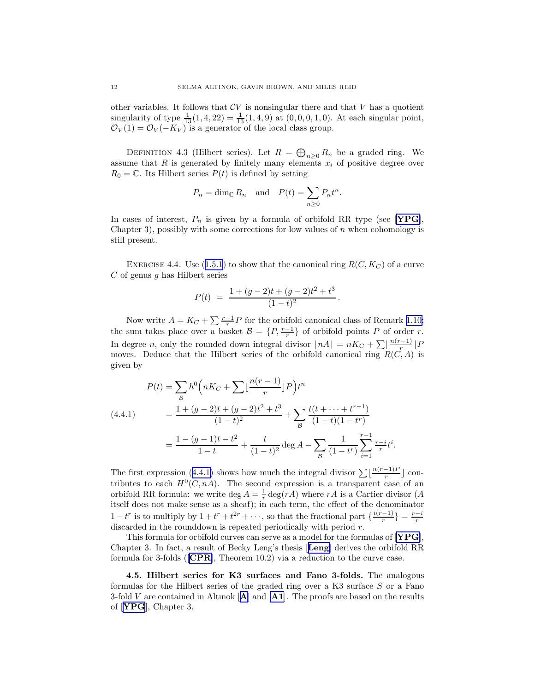<span id="page-12-0"></span>other variables. It follows that  $CV$  is nonsingular there and that V has a quotient singularity of type  $\frac{1}{13}(1, 4, 22) = \frac{1}{13}(1, 4, 9)$  at  $(0, 0, 0, 1, 0)$ . At each singular point,  $\mathcal{O}_V(1) = \mathcal{O}_V(-K_V)$  is a generator of the local class group.

DEFINITION 4.3 (Hilbert series). Let  $R = \bigoplus_{n\geq 0} R_n$  be a graded ring. We assume that R is generated by finitely many elements  $x_i$  of positive degree over  $R_0 = \mathbb{C}$ . Its Hilbert series  $P(t)$  is defined by setting

$$
P_n = \dim_{\mathbb{C}} R_n
$$
 and  $P(t) = \sum_{n\geq 0} P_n t^n$ .

In cases of interest,  $P_n$  is given by a formula of orbifold RR type (see [[YPG](#page-28-0)], Chapter 3), possibly with some corrections for low values of  $n$  when cohomology is still present.

EXERCISE4.4. Use ([1.5.1](#page-2-0)) to show that the canonical ring  $R(C, K_C)$  of a curve  $C$  of genus q has Hilbert series

$$
P(t) = \frac{1 + (g - 2)t + (g - 2)t^2 + t^3}{(1 - t)^2}.
$$

Now write  $A = K_C + \sum_{r=1}^{r-1} P$  for the orbifold canonical class of Remark [1.10;](#page-4-0) the sum takes place over a basket  $\mathcal{B} = \{P, \frac{r-1}{r}\}\$  of orbifold points P of order r. In degree *n*, only the rounded down integral divisor  $\lfloor nA \rfloor = nK_C + \sum_{r} \lfloor \frac{n(r-1)}{r} \rfloor$  $\frac{(-1)}{r}$ ]  $F$ moves. Deduce that the Hilbert series of the orbifold canonical ring  $R(C, A)$  is given by

$$
P(t) = \sum_{\mathcal{B}} h^0 \left( nK_C + \sum \lfloor \frac{n(r-1)}{r} \rfloor P \right) t^n
$$
  
(4.4.1)  

$$
= \frac{1 + (g-2)t + (g-2)t^2 + t^3}{(1-t)^2} + \sum_{\mathcal{B}} \frac{t(t + \dots + t^{r-1})}{(1-t)(1-t^r)}
$$

$$
= \frac{1 - (g-1)t - t^2}{1-t} + \frac{t}{(1-t)^2} \deg A - \sum_{\mathcal{B}} \frac{1}{(1-t^r)} \sum_{i=1}^{r-1} \frac{r-i}{r} t^i.
$$

Thefirst expression ([4.4.1\)](#page-11-0) shows how much the integral divisor  $\sum \lfloor \frac{n(r-1)F}{r} \rfloor$  $\frac{-1}{r}$  contributes to each  $H^0(C, nA)$ . The second expression is a transparent case of an orbifold RR formula: we write  $\deg A = \frac{1}{r} \deg(rA)$  where  $rA$  is a Cartier divisor (A itself does not make sense as a sheaf); in each term, the effect of the denominator  $1-t^r$  is to multiply by  $1+t^r+t^{2r}+\cdots$ , so that the fractional part  $\{\frac{i(r-1)}{r}\}$  $\frac{-1)}{r}$ } =  $\frac{r-i}{r}$ discarded in the rounddown is repeated periodically with period  $r$ .

This formula for orbifold curves can serve as a model for the formulas of [[YPG](#page-28-0)], Chapter 3. In fact, a result of Becky Leng's thesis [[Leng](#page-27-0)] derives the orbifold RR formula for 3-folds ([[CPR](#page-27-0)], Theorem 10.2) via a reduction to the curve case.

4.5. Hilbert series for K3 surfaces and Fano 3-folds. The analogous formulas for the Hilbert series of the graded ring over a K3 surface S or a Fano 3-fold V are contained in [A](#page-27-0)ltinok  $[A]$  and  $[A1]$  $[A1]$  $[A1]$ . The proofs are based on the results of [[YPG](#page-28-0)], Chapter 3.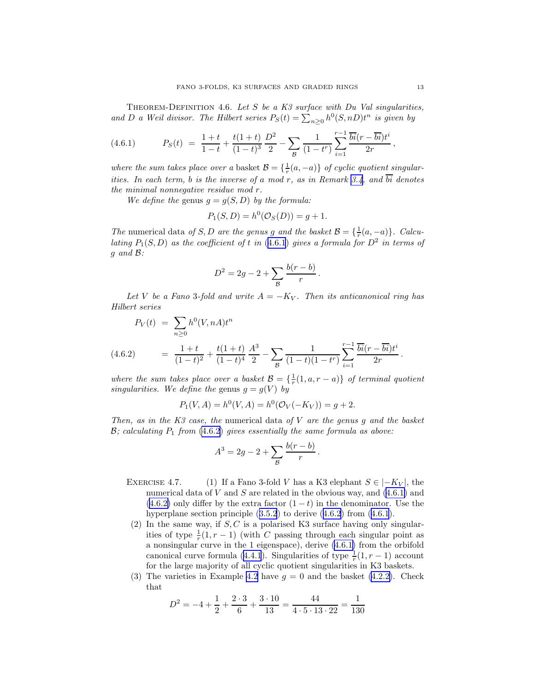<span id="page-13-0"></span>THEOREM-DEFINITION 4.6. Let S be a K3 surface with Du Val singularities, and D a Weil divisor. The Hilbert series  $P_S(t) = \sum_{n\geq 0} h^0(S, nD)t^n$  is given by

(4.6.1) 
$$
P_S(t) = \frac{1+t}{1-t} + \frac{t(1+t)}{(1-t)^3} \frac{D^2}{2} - \sum_{\mathcal{B}} \frac{1}{(1-t^r)} \sum_{i=1}^{r-1} \frac{\overline{bi}(r - \overline{bi})t^i}{2r},
$$

where the sum takes place over a basket  $\mathcal{B} = \{\frac{1}{r}(a, -a)\}\$  of cyclic quotient singular-ities. In each term, b is the inverse of a mod r, as in Remark [3.4](#page-8-0), and  $\overline{bi}$  denotes the minimal nonnegative residue mod r.

We define the genus  $g = g(S, D)$  by the formula:

$$
P_1(S, D) = h^0(\mathcal{O}_S(D)) = g + 1.
$$

The numerical data of S, D are the genus g and the basket  $\mathcal{B} = \{\frac{1}{r}(a, -a)\}\$ . Calculating  $P_1(S, D)$  as the coefficient of t in (4.[6](#page-12-0).1) gives a formula for  $D^2$  in terms of g and B:

$$
D^{2} = 2g - 2 + \sum_{\mathcal{B}} \frac{b(r - b)}{r}.
$$

Let V be a Fano 3-fold and write  $A = -K_V$ . Then its anticanonical ring has Hilbert series

$$
P_V(t) = \sum_{n\geq 0} h^0(V, nA)t^n
$$
  
(4.6.2) 
$$
= \frac{1+t}{(1-t)^2} + \frac{t(1+t)}{(1-t)^4} \frac{A^3}{2} - \sum_{\mathcal{B}} \frac{1}{(1-t)(1-t^r)} \sum_{i=1}^{r-1} \frac{\overline{bi}(r - \overline{bi})t^i}{2r}.
$$

where the sum takes place over a basket  $\mathcal{B} = \{\frac{1}{r}(1, a, r - a)\}\$  of terminal quotient singularities. We define the genus  $g = g(V)$  by

$$
P_1(V, A) = h^0(V, A) = h^0(\mathcal{O}_V(-K_V)) = g + 2.
$$

Then, as in the  $K3$  case, the numerical data of V are the genus g and the basket  $\mathcal{B}$ ; calculating  $P_1$  from [\(4](#page-12-0).6.2) gives essentially the same formula as above:

$$
A^{3} = 2g - 2 + \sum_{\mathcal{B}} \frac{b(r - b)}{r}
$$

EXERCISE 4.7. (1) If a Fano 3-fold V has a K3 elephant  $S \in |-K_V|$ , the numerical data of V and S are related in the obvious way, and  $(4.6.1)$  and  $(4.6.2)$  only differ by the extra factor  $(1-t)$  in the denominator. Use the hyperplanesection principle  $(3.5.2)$  $(3.5.2)$  $(3.5.2)$  to derive  $(4.6.2)$  $(4.6.2)$  $(4.6.2)$  from  $(4.6.1)$  $(4.6.1)$  $(4.6.1)$ .

.

- (2) In the same way, if  $S, C$  is a polarised K3 surface having only singularities of type  $\frac{1}{r}(1, r-1)$  (with C passing through each singular point as a nonsingular curve in the 1 eigenspace), derive [\(4.6.1\)](#page-12-0) from the orbifold canonicalcurve formula ([4.4.1](#page-11-0)). Singularities of type  $\frac{1}{r}(1, r-1)$  account for the large majority of all cyclic quotient singularities in K3 baskets.
- (3) The varieties in Example [4.2](#page-10-0) have  $g = 0$  and the basket [\(4.2.2\)](#page-10-0). Check that

$$
D^{2} = -4 + \frac{1}{2} + \frac{2 \cdot 3}{6} + \frac{3 \cdot 10}{13} = \frac{44}{4 \cdot 5 \cdot 13 \cdot 22} = \frac{1}{130}
$$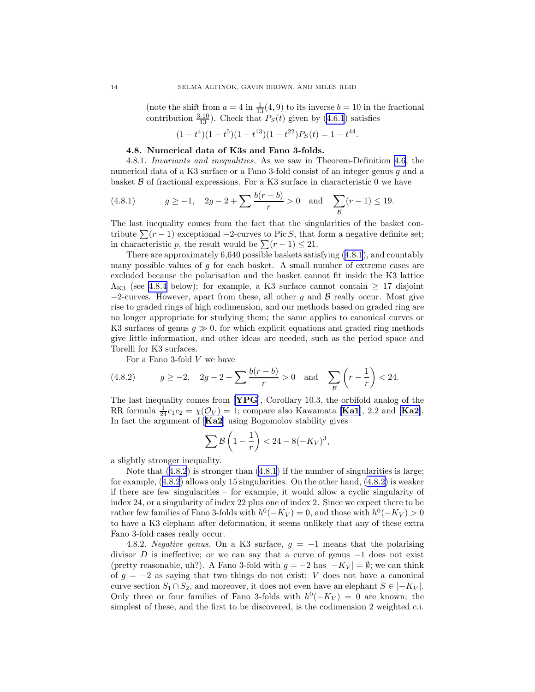<span id="page-14-0"></span>(note the shift from  $a = 4$  in  $\frac{1}{13}(4, 9)$  to its inverse  $b = 10$  in the fractional contribution $\frac{3\cdot10}{13}$ . Check that  $P_S(t)$  given by ([4.6.1](#page-12-0)) satisfies

$$
(1 - t4)(1 - t5)(1 - t13)(1 - t22)PS(t) = 1 - t44.
$$

#### 4.8. Numerical data of K3s and Fano 3-folds.

4.8.1. Invariants and inequalities. As we saw in Theorem-Definition [4.6](#page-11-0), the numerical data of a K3 surface or a Fano 3-fold consist of an integer genus g and a basket  $\beta$  of fractional expressions. For a K3 surface in characteristic 0 we have

(4.8.1) 
$$
g \ge -1
$$
,  $2g - 2 + \sum \frac{b(r - b)}{r} > 0$  and  $\sum_{\mathcal{B}} (r - 1) \le 19$ .

The last inequality comes from the fact that the singularities of the basket contribute  $\sum (r - 1)$  exceptional  $-2$ -curves to Pic S, that form a negative definite set; in characteristic p, the result would be  $\sum (r - 1) \leq 21$ .

There are approximately 6,640 possible baskets satisfying ([4.8.1](#page-13-0)), and countably many possible values of g for each basket. A small number of extreme cases are excluded because the polarisation and the basket cannot fit inside the K3 lattice  $\Lambda_{K3}$  (see 4.8.4 below); for example, a K3 surface cannot contain  $\geq 17$  disjoint  $-2$ -curves. However, apart from these, all other g and B really occur. Most give rise to graded rings of high codimension, and our methods based on graded ring are no longer appropriate for studying them; the same applies to canonical curves or K3 surfaces of genus  $g \gg 0$ , for which explicit equations and graded ring methods give little information, and other ideas are needed, such as the period space and Torelli for K3 surfaces.

For a Fano 3-fold V we have

(4.8.2) 
$$
g \ge -2
$$
,  $2g - 2 + \sum \frac{b(r - b)}{r} > 0$  and  $\sum_{\mathcal{B}} \left(r - \frac{1}{r}\right) < 24$ .

The last inequality comes from [[YPG](#page-28-0)], Corollary 10.3, the orbifold analog of the RR formula  $\frac{1}{24}c_1c_2 = \chi(\mathcal{O}_V) = 1$ ; compare also Kawamata [**[Ka1](#page-27-0)**], 2.2 and [**[Ka2](#page-27-0)**]. In fact the argument of [**[Ka2](#page-27-0)**] using Bogomolov stability gives

$$
\sum \mathcal{B}\left(1-\frac{1}{r}\right) < 24 - 8(-K_V)^3,
$$

a slightly stronger inequality.

Note that([4.8.2](#page-13-0)) is stronger than [\(4.8.1\)](#page-13-0) if the number of singularities is large; for example,([4.8.2](#page-13-0)) allows only 15 singularities. On the other hand, [\(4.8.2\)](#page-13-0) is weaker if there are few singularities – for example, it would allow a cyclic singularity of index 24, or a singularity of index 22 plus one of index 2. Since we expect there to be rather few families of Fano 3-folds with  $h^0(-K_V) = 0$ , and those with  $h^0(-K_V) > 0$ to have a K3 elephant after deformation, it seems unlikely that any of these extra Fano 3-fold cases really occur.

4.8.2. Negative genus. On a K3 surface,  $g = -1$  means that the polarising divisor D is ineffective; or we can say that a curve of genus  $-1$  does not exist (pretty reasonable, uh?). A Fano 3-fold with  $g = -2$  has  $|-K_V| = \emptyset$ ; we can think of  $g = -2$  as saying that two things do not exist: V does not have a canonical curve section  $S_1 \cap S_2$ , and moreover, it does not even have an elephant  $S \in |-K_V|$ . Only three or four families of Fano 3-folds with  $h^0(-K_V) = 0$  are known; the simplest of these, and the first to be discovered, is the codimension 2 weighted c.i.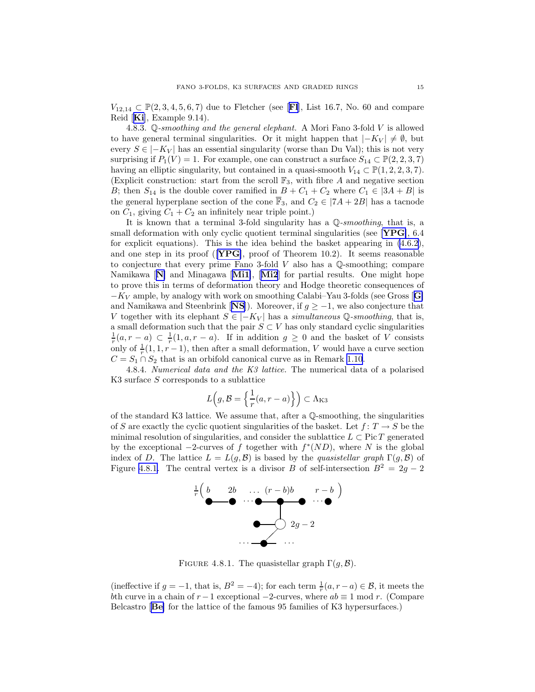<span id="page-15-0"></span> $V_{12,14} \subset \mathbb{P}(2,3,4,5,6,7)$  due to [Fl](#page-27-0)etcher (see [F1], List 16.7, No. 60 and compare Reid [[Ki](#page-28-0)], Example 9.14).

4.8.3.  $\mathbb{Q}$ -smoothing and the general elephant. A Mori Fano 3-fold V is allowed to have general terminal singularities. Or it might happen that  $|-K_V| \neq \emptyset$ , but every  $S \in |-K_V|$  has an essential singularity (worse than Du Val); this is not very surprising if  $P_1(V) = 1$ . For example, one can construct a surface  $S_{14} \subset \mathbb{P}(2, 2, 3, 7)$ having an elliptic singularity, but contained in a quasi-smooth  $V_{14} \subset \mathbb{P}(1, 2, 2, 3, 7)$ . (Explicit construction: start from the scroll  $\mathbb{F}_3$ , with fibre A and negative section B; then  $S_{14}$  is the double cover ramified in  $B + C_1 + C_2$  where  $C_1 \in |3A + B|$  is the general hyperplane section of the cone  $\overline{\mathbb{F}}_3$ , and  $C_2 \in |7A + 2B|$  has a tacnode on  $C_1$ , giving  $C_1 + C_2$  an infinitely near triple point.)

It is known that a terminal 3-fold singularity has a  $\mathbb{Q}$ -smoothing, that is, a small deformation with only cyclic quotient terminal singularities (see [[YPG](#page-28-0)],  $6.4$ for explicit equations). This is the idea behind the basket appearing in [\(4.6.2\)](#page-12-0), and one step in its proof ( $[\text{YPG}]$  $[\text{YPG}]$  $[\text{YPG}]$ , proof of Theorem 10.2). It seems reasonable to conjecture that every prime Fano 3-fold  $V$  also has a Q-smoothing; compare [N](#page-27-0)amikawa  $[N]$  and Minagawa  $[Mi1]$  $[Mi1]$  $[Mi1]$ ,  $[Mi2]$  $[Mi2]$  $[Mi2]$  for partial results. One might hope to prove this in terms of deformation theory and Hodge theoretic consequences of  $-K_V$  ample, by analogy with work on smoothing Calabi–Yau 3-folds (see [G](#page-27-0)ross [**G**] and Namikawa and Steenbrink [[NS](#page-27-0)]). Moreover, if  $q \geq -1$ , we also conjecture that V together with its elephant  $S \in |-K_V|$  has a simultaneous Q-smoothing, that is, a small deformation such that the pair  $S \subset V$  has only standard cyclic singularities  $\frac{1}{r}(a,r-a) \subset \frac{1}{r}(1,a,r-a)$ . If in addition  $g \geq 0$  and the basket of V consists only of  $\frac{1}{r}(1, 1, r-1)$ , then after a small deformation, V would have a curve section  $C = S_1 \cap S_2$  that is an orbifold canonical curve as in Remark [1.10](#page-4-0).

4.8.4. Numerical data and the K3 lattice. The numerical data of a polarised K3 surface  $S$  corresponds to a sublattice

$$
L(g, \mathcal{B} = \left\{ \frac{1}{r}(a, r - a) \right\} \subset \Lambda_{K3}
$$

of the standard K3 lattice. We assume that, after a  $\mathbb Q$ -smoothing, the singularities of S are exactly the cyclic quotient singularities of the basket. Let  $f: T \to S$  be the minimal resolution of singularities, and consider the sublattice  $L \subset \text{Pic } T$  generated by the exceptional  $-2$ -curves of f together with  $f^*(ND)$ , where N is the global index of D. The lattice  $L = L(g, \mathcal{B})$  is based by the quasistellar graph  $\Gamma(g, \mathcal{B})$  of Figure [4.8.1.](#page-14-0) The central vertex is a divisor B of self-intersection  $B^2 = 2g - 2$ 



FIGURE 4.8.1. The quasistellar graph  $\Gamma(g, \mathcal{B})$ .

(ineffective if  $g = -1$ , that is,  $B^2 = -4$ ); for each term  $\frac{1}{r}(a, r - a) \in \mathcal{B}$ , it meets the bth curve in a chain of  $r-1$  exceptional  $-2$ -curves, where  $ab \equiv 1 \mod r$ . (Compare Belcastro [[Be](#page-27-0)] for the lattice of the famous 95 families of K3 hypersurfaces.)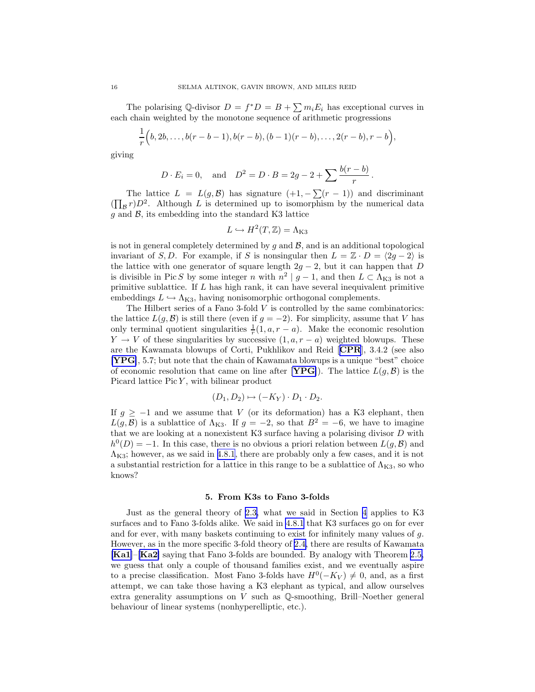<span id="page-16-0"></span>The polarising Q-divisor  $D = f^*D = B + \sum m_i E_i$  has exceptional curves in each chain weighted by the monotone sequence of arithmetic progressions

$$
\frac{1}{r}\Big(b,2b,\ldots,b(r-b-1),b(r-b),(b-1)(r-b),\ldots,2(r-b),r-b\Big),
$$

giving

$$
D \cdot E_i = 0
$$
, and  $D^2 = D \cdot B = 2g - 2 + \sum \frac{b(r - b)}{r}$ .

The lattice  $L = L(g, \mathcal{B})$  has signature  $(+1, -\sum(r - 1))$  and discriminant  $(\prod_{\mathcal{B}} r)D^2$ . Although L is determined up to isomorphism by the numerical data  $g$  and  $B$ , its embedding into the standard K3 lattice

$$
L \hookrightarrow H^2(T, \mathbb{Z}) = \Lambda_{K3}
$$

is not in general completely determined by  $g$  and  $B$ , and is an additional topological invariant of S, D. For example, if S is nonsingular then  $L = \mathbb{Z} \cdot D = \langle 2q - 2 \rangle$  is the lattice with one generator of square length  $2g - 2$ , but it can happen that D is divisible in Pic S by some integer n with  $n^2 | g - 1$ , and then  $L \subset \Lambda_{K3}$  is not a primitive sublattice. If L has high rank, it can have several inequivalent primitive embeddings  $L \hookrightarrow \Lambda_{K3}$ , having nonisomorphic orthogonal complements.

The Hilbert series of a Fano 3-fold  $V$  is controlled by the same combinatorics: the lattice  $L(g, \mathcal{B})$  is still there (even if  $g = -2$ ). For simplicity, assume that V has only terminal quotient singularities  $\frac{1}{r}(1, a, r - a)$ . Make the economic resolution  $Y \to V$  of these singularities by successive  $(1, a, r - a)$  weighted blowups. These are the Kawamata blowups of Corti, Pukhlikov and Reid [[CPR](#page-27-0)], 3.4.2 (see also [[YPG](#page-28-0)], 5.7; but note that the chain of Kawamata blowups is a unique "best" choice of economic resolution that came on line after [[YPG](#page-28-0)]). The lattice  $L(g, \mathcal{B})$  is the Picard lattice  $Pic Y$ , with bilinear product

$$
(D_1, D_2) \mapsto (-K_Y) \cdot D_1 \cdot D_2.
$$

If  $g \ge -1$  and we assume that V (or its deformation) has a K3 elephant, then  $L(g, \mathcal{B})$  is a sublattice of  $\Lambda_{K3}$ . If  $g = -2$ , so that  $B^2 = -6$ , we have to imagine that we are looking at a nonexistent  $K3$  surface having a polarising divisor  $D$  with  $h^0(D) = -1$ . In this case, there is no obvious a priori relation between  $L(g, \mathcal{B})$  and  $\Lambda_{\rm K3}$ ; however, as we said in [4.8.1](#page-13-0), there are probably only a few cases, and it is not a substantial restriction for a lattice in this range to be a sublattice of  $\Lambda_{K3}$ , so who knows?

#### 5. From K3s to Fano 3-folds

Just as the general theory of [2.3,](#page-5-0) what we said in Section [4](#page-10-0) applies to K3 surfaces and to Fano 3-folds alike. We said in [4.8.1](#page-13-0) that K3 surfaces go on for ever and for ever, with many baskets continuing to exist for infinitely many values of  $g$ . However, as in the more specific 3-fold theory of [2.4,](#page-6-0) there are results of Kawamata  $[Ka1]$  $[Ka1]$  $[Ka1]$ – $[Ka2]$  $[Ka2]$  $[Ka2]$  saying that Fano 3-folds are bounded. By analogy with Theorem [2.5,](#page-6-0) we guess that only a couple of thousand families exist, and we eventually aspire to a precise classification. Most Fano 3-folds have  $H^0(-K_V) \neq 0$ , and, as a first attempt, we can take those having a K3 elephant as typical, and allow ourselves extra generality assumptions on  $V$  such as  $\mathbb{Q}$ -smoothing, Brill–Noether general behaviour of linear systems (nonhyperelliptic, etc.).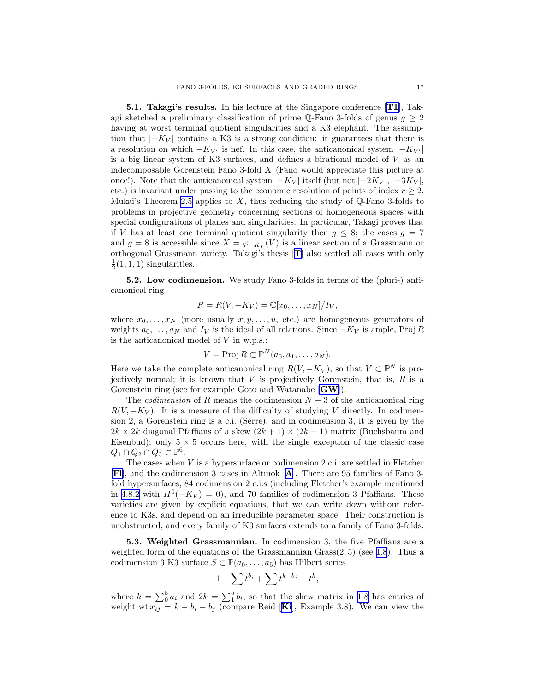<span id="page-17-0"></span>5.1. Takagi's results. In his lecture at the Singapore conference [[T1](#page-28-0)], Takagi sketched a preliminary classification of prime Q-Fano 3-folds of genus  $g \geq 2$ having at worst terminal quotient singularities and a K3 elephant. The assumption that  $|-K_V|$  contains a K3 is a strong condition: it guarantees that there is a resolution on which  $-K_{V'}$  is nef. In this case, the anticanonical system  $|-K_{V'}|$ is a big linear system of K3 surfaces, and defines a birational model of  $V$  as an indecomposable Gorenstein Fano 3-fold X (Fano would appreciate this picture at once!). Note that the anticanonical system  $|-K_V|$  itself (but not  $|-2K_V|, |-3K_V|,$ etc.) is invariant under passing to the economic resolution of points of index  $r \geq 2$ . Mukai's Theorem [2.5](#page-6-0) applies to  $X$ , thus reducing the study of  $\mathbb Q$ -Fano 3-folds to problems in projective geometry concerning sections of homogeneous spaces with special configurations of planes and singularities. In particular, Takagi proves that if V has at least one terminal quotient singularity then  $g \leq 8$ ; the cases  $g = 7$ and  $g = 8$  is accessible since  $X = \varphi_{-K_V}(V)$  is a linear section of a Grassmann or orthogonal Grassmann variety. Takagi's thesis [[T](#page-28-0)] also settled all cases with only  $\frac{1}{2}(1,1,1)$  singularities.

5.2. Low codimension. We study Fano 3-folds in terms of the (pluri-) anticanonical ring

$$
R = R(V, -K_V) = \mathbb{C}[x_0, \ldots, x_N]/I_V,
$$

where  $x_0, \ldots, x_N$  (more usually  $x, y, \ldots, u$ , etc.) are homogeneous generators of weights  $a_0, \ldots, a_N$  and  $I_V$  is the ideal of all relations. Since  $-K_V$  is ample, Proj R is the anticanonical model of  $V$  in w.p.s.:

$$
V = \text{Proj } R \subset \mathbb{P}^N(a_0, a_1, \ldots, a_N).
$$

Here we take the complete anticanonical ring  $R(V, -K_V)$ , so that  $V \subset \mathbb{P}^N$  is projectively normal; it is known that  $V$  is projectively Gorenstein, that is,  $R$  is a Gorenstein ring (see for example Goto and Watanabe [[GW](#page-27-0)]).

The *codimension* of R means the codimension  $N-3$  of the anticanonical ring  $R(V, -K_V)$ . It is a measure of the difficulty of studying V directly. In codimension 2, a Gorenstein ring is a c.i. (Serre), and in codimension 3, it is given by the  $2k \times 2k$  diagonal Pfaffians of a skew  $(2k+1) \times (2k+1)$  matrix (Buchsbaum and Eisenbud); only  $5 \times 5$  occurs here, with the single exception of the classic case  $Q_1 \cap Q_2 \cap Q_3 \subset \mathbb{P}^6$ .

The cases when  $V$  is a hypersurface or codimension 2 c.i. are settled in Fletcher [[Fl](#page-27-0)], and the codimension 3 cases in Altınok [[A](#page-27-0)]. There are 95 families of Fano 3 fold hypersurfaces, 84 codimension 2 c.i.s (including Fletcher's example mentioned in [4.8.2](#page-13-0) with  $H^0(-K_V) = 0$ , and 70 families of codimension 3 Pfaffians. These varieties are given by explicit equations, that we can write down without reference to K3s, and depend on an irreducible parameter space. Their construction is unobstructed, and every family of K3 surfaces extends to a family of Fano 3-folds.

5.3. Weighted Grassmannian. In codimension 3, the five Pfaffians are a weighted form of the equations of the Grassmannian  $Grass(2, 5)$  (see [1.8](#page-3-0)). Thus a codimension 3 K3 surface  $S \subset \mathbb{P}(a_0, \ldots, a_5)$  has Hilbert series

$$
1 - \sum t^{b_i} + \sum t^{k-b_j} - t^k,
$$

where  $k = \sum_{i=0}^{5} a_i$  and  $2k = \sum_{i=1}^{5} b_i$ , so that the skew matrix in [1.8](#page-3-0) has entries of weight wt  $x_{ij} = k - b_i - b_j$  (compare Reid [[Ki](#page-28-0)], Example 3.8). We can view the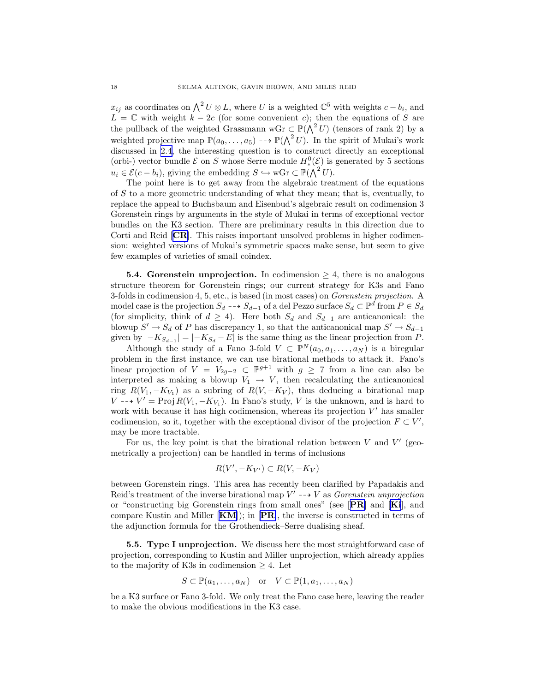<span id="page-18-0"></span> $x_{ij}$  as coordinates on  $\bigwedge^2 U \otimes L$ , where U is a weighted  $\mathbb{C}^5$  with weights  $c - b_i$ , and  $L = \mathbb{C}$  with weight  $k - 2c$  (for some convenient c); then the equations of S are the pullback of the weighted Grassmann wGr  $\subset \mathbb{P}(\bigwedge^2 U)$  (tensors of rank 2) by a weighted projective map  $\mathbb{P}(a_0,\ldots,a_5) \dashrightarrow \mathbb{P}(\bigwedge^2 U)$ . In the spirit of Mukai's work discussed in [2.4,](#page-6-0) the interesting question is to construct directly an exceptional (orbi-) vector bundle  $\mathcal E$  on S whose Serre module  $H^0_*(\mathcal E)$  is generated by 5 sections  $u_i \in \mathcal{E}(c - b_i)$ , giving the embedding  $S \hookrightarrow w\mathbf{Gr} \subset \mathbb{P}(\bigwedge^2 U)$ .

The point here is to get away from the algebraic treatment of the equations of S to a more geometric understanding of what they mean; that is, eventually, to replace the appeal to Buchsbaum and Eisenbud's algebraic result on codimension 3 Gorenstein rings by arguments in the style of Mukai in terms of exceptional vector bundles on the K3 section. There are preliminary results in this direction due to Corti and Reid [[CR](#page-27-0)]. This raises important unsolved problems in higher codimension: weighted versions of Mukai's symmetric spaces make sense, but seem to give few examples of varieties of small coindex.

**5.4. Gorenstein unprojection.** In codimension  $\geq 4$ , there is no analogous structure theorem for Gorenstein rings; our current strategy for K3s and Fano 3-folds in codimension 4, 5, etc., is based (in most cases) on Gorenstein projection. A model case is the projection  $S_d \dashrightarrow S_{d-1}$  of a del Pezzo surface  $S_d \subset \mathbb{P}^d$  from  $P \in S_d$ (for simplicity, think of  $d \geq 4$ ). Here both  $S_d$  and  $S_{d-1}$  are anticanonical: the blowup  $S' \to S_d$  of P has discrepancy 1, so that the anticanonical map  $S' \to S_{d-1}$ given by  $|-K_{S_{d-1}}| = |-K_{S_d} - E|$  is the same thing as the linear projection from P.

Although the study of a Fano 3-fold  $V \subset \mathbb{P}^N(a_0, a_1, \ldots, a_N)$  is a biregular problem in the first instance, we can use birational methods to attack it. Fano's linear projection of  $V = V_{2g-2} \subset \mathbb{P}^{g+1}$  with  $g \geq 7$  from a line can also be interpreted as making a blowup  $V_1 \rightarrow V$ , then recalculating the anticanonical ring  $R(V_1, -K_{V_1})$  as a subring of  $R(V, -K_V)$ , thus deducing a birational map  $V \rightarrow V' = \text{Proj } R(V_1, -K_{V_1})$ . In Fano's study, V is the unknown, and is hard to work with because it has high codimension, whereas its projection  $V'$  has smaller codimension, so it, together with the exceptional divisor of the projection  $F \subset V'$ , may be more tractable.

For us, the key point is that the birational relation between  $V$  and  $V'$  (geometrically a projection) can be handled in terms of inclusions

$$
R(V', -K_{V'}) \subset R(V, -K_V)
$$

between Gorenstein rings. This area has recently been clarified by Papadakis and Reid's treatment of the inverse birational map  $V' \dashrightarrow V$  as *Gorenstein unprojection* or "constructing big Gorenstein rings from small ones" (see  $[PR]$  $[PR]$  $[PR]$  and  $[Ki]$  $[Ki]$  $[Ki]$ , and compare Kustin and Miller  $\text{[KM]}$  $\text{[KM]}$  $\text{[KM]}$ ; in  $\text{[PR]}$  $\text{[PR]}$  $\text{[PR]}$ , the inverse is constructed in terms of the adjunction formula for the Grothendieck–Serre dualising sheaf.

**5.5. Type I unprojection.** We discuss here the most straightforward case of projection, corresponding to Kustin and Miller unprojection, which already applies to the majority of K3s in codimension  $\geq 4$ . Let

$$
S \subset \mathbb{P}(a_1, \ldots, a_N) \quad \text{or} \quad V \subset \mathbb{P}(1, a_1, \ldots, a_N)
$$

be a K3 surface or Fano 3-fold. We only treat the Fano case here, leaving the reader to make the obvious modifications in the K3 case.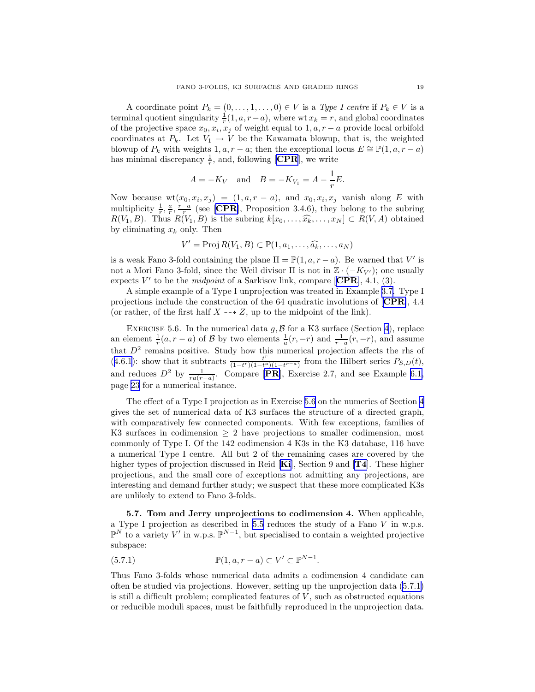<span id="page-19-0"></span>A coordinate point  $P_k = (0, \ldots, 1, \ldots, 0) \in V$  is a Type I centre if  $P_k \in V$  is a terminal quotient singularity  $\frac{1}{r}(1, a, r - a)$ , where wt  $x_k = r$ , and global coordinates of the projective space  $x_0, x_i, x_j$  of weight equal to  $1, a, r - a$  provide local orbifold coordinates at  $P_k$ . Let  $V_1 \rightarrow V$  be the Kawamata blowup, that is, the weighted blowup of  $P_k$  with weights 1,  $a, r - a$ ; then the exceptional locus  $E \cong \mathbb{P}(1, a, r - a)$ has minimal discrepancy  $\frac{1}{r}$ , and, following [[CPR](#page-27-0)], we write

$$
A = -K_V
$$
 and  $B = -K_{V_1} = A - \frac{1}{r}E$ .

Now because  $\text{wt}(x_0, x_i, x_j) = (1, a, r - a), \text{ and } x_0, x_i, x_j \text{ vanish along } E \text{ with }$ multiplicity  $\frac{1}{r}, \frac{a}{r}, \frac{r-a}{r}$  (see [[CPR](#page-27-0)], Proposition 3.4.6), they belong to the subring  $R(V_1, B)$ . Thus  $R(V_1, B)$  is the subring  $k[x_0, \ldots, \widehat{x_k}, \ldots, x_N] \subset R(V, A)$  obtained by eliminating  $x_k$  only. Then

$$
V' = \text{Proj } R(V_1, B) \subset \mathbb{P}(1, a_1, \ldots, \widehat{a_k}, \ldots, a_N)
$$

is a weak Fano 3-fold containing the plane  $\Pi = \mathbb{P}(1, a, r - a)$ . Be warned that V' is not a Mori Fano 3-fold, since the Weil divisor  $\Pi$  is not in  $\mathbb{Z} \cdot (-K_{V'})$ ; one usually expects  $V'$  to be the *midpoint* of a Sarkisov link, compare [[CPR](#page-27-0)], 4.1, (3).

A simple example of a Type I unprojection was treated in Example [3.7.](#page-9-0) Type I projections include the construction of the 64 quadratic involutions of [[CPR](#page-27-0)], 4.4 (or rather, of the first half  $X \dashrightarrow Z$ , up to the midpoint of the link).

EXERCISE 5.6. In the numerical data  $g, B$  for a K3 surface (Section [4](#page-10-0)), replace an element  $\frac{1}{r}(a, r - a)$  of B by two elements  $\frac{1}{a}(r, -r)$  and  $\frac{1}{r-a}(r, -r)$ , and assume that  $D^2$  remains positive. Study how this numerical projection affects the rhs of  $(4.6.1)$  $(4.6.1)$  $(4.6.1)$ : show that it subtracts  $\frac{t^r}{(1-t^r)(1-t^a)}$  $\frac{t}{(1-t^r)(1-t^a)(1-t^{r-a})}$  from the Hilbert series  $P_{S,D}(t)$ , and reduces  $D^2$  by  $\frac{1}{ra(r-a)}$ . Compare [[PR](#page-28-0)], Exercise 2.7, and see Example [6.1,](#page-20-0) page [23](#page-22-0) for a numerical instance.

The effect of a Type I projection as in Exercise [5.6](#page-18-0) on the numerics of Section [4](#page-10-0) gives the set of numerical data of K3 surfaces the structure of a directed graph, with comparatively few connected components. With few exceptions, families of K3 surfaces in codimension  $\geq 2$  have projections to smaller codimension, most commonly of Type I. Of the 142 codimension 4 K3s in the K3 database, 116 have a numerical Type I centre. All but 2 of the remaining cases are covered by the higher types of projection discussed in Reid  $[Ki]$  $[Ki]$  $[Ki]$ , Section 9 and  $[T4]$  $[T4]$  $[T4]$ . These higher projections, and the small core of exceptions not admitting any projections, are interesting and demand further study; we suspect that these more complicated K3s are unlikely to extend to Fano 3-folds.

5.7. Tom and Jerry unprojections to codimension 4. When applicable, a Type I projection as described in [5.5](#page-17-0) reduces the study of a Fano V in w.p.s.  $\mathbb{P}^N$  to a variety V' in w.p.s.  $\mathbb{P}^{N-1}$ , but specialised to contain a weighted projective subspace:

(5.7.1) 
$$
\mathbb{P}(1, a, r - a) \subset V' \subset \mathbb{P}^{N-1}.
$$

Thus Fano 3-folds whose numerical data admits a codimension 4 candidate can often be studied via projections. However, setting up the unprojection data([5.7.1\)](#page-18-0) is still a difficult problem; complicated features of  $V$ , such as obstructed equations or reducible moduli spaces, must be faithfully reproduced in the unprojection data.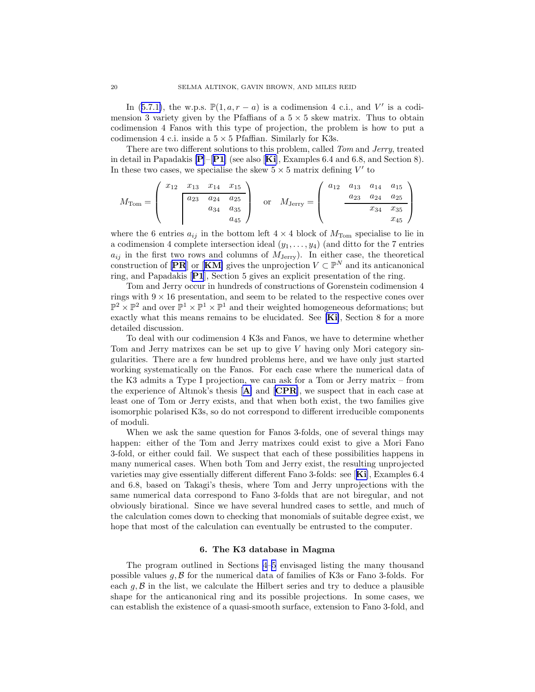<span id="page-20-0"></span>In([5.7.1\)](#page-18-0), the w.p.s.  $\mathbb{P}(1, a, r - a)$  is a codimension 4 c.i., and V' is a codimension 3 variety given by the Pfaffians of a  $5 \times 5$  skew matrix. Thus to obtain codimension 4 Fanos with this type of projection, the problem is how to put a codimension 4 c.i. inside a  $5 \times 5$  Pfaffian. Similarly for K3s.

There are two different solutions to this problem, called Tom and Jerry, treated in detail in [P](#page-27-0)apadakis  $[P]-[P1]$  $[P]-[P1]$  $[P]-[P1]$  (see also [[Ki](#page-28-0)], Examples 6.4 and 6.8, and Section 8). In these two cases, we specialise the skew  $5 \times 5$  matrix defining  $V'$  to

$$
M_{\text{Tom}} = \begin{pmatrix} x_{12} & x_{13} & x_{14} & x_{15} \\ & a_{23} & a_{24} & a_{25} \\ & & a_{34} & a_{35} \\ & & & a_{45} \end{pmatrix} \quad \text{or} \quad M_{\text{Jerry}} = \begin{pmatrix} a_{12} & a_{13} & a_{14} & a_{15} \\ & a_{23} & a_{24} & a_{25} \\ & & x_{34} & x_{35} \\ & & & x_{45} \end{pmatrix}
$$

where the 6 entries  $a_{ij}$  in the bottom left  $4 \times 4$  block of  $M_{\text{Tom}}$  specialise to lie in a codimension 4 complete intersection ideal  $(y_1, \ldots, y_4)$  (and ditto for the 7 entries  $a_{ij}$  in the first two rows and columns of  $M_{\text{Jerry}}$ ). In either case, the theoretical construction of [[PR](#page-28-0)] or [[KM](#page-27-0)] gives the unprojection  $V \subset \mathbb{P}^N$  and its anticanonical ring, and Papadakis [[P1](#page-28-0)], Section 5 gives an explicit presentation of the ring.

Tom and Jerry occur in hundreds of constructions of Gorenstein codimension 4 rings with  $9 \times 16$  presentation, and seem to be related to the respective cones over  $\mathbb{P}^2 \times \mathbb{P}^2$  and over  $\mathbb{P}^1 \times \mathbb{P}^1 \times \mathbb{P}^1$  and their weighted homogeneous deformations; but exactly what this means remains to be elucidated. See [[Ki](#page-28-0)], Section 8 for a more detailed discussion.

To deal with our codimension 4 K3s and Fanos, we have to determine whether Tom and Jerry matrixes can be set up to give V having only Mori category singularities. There are a few hundred problems here, and we have only just started working systematically on the Fanos. For each case where the numerical data of the K3 admits a Type I projection, we can ask for a Tom or Jerry matrix – from the experience of [A](#page-27-0)ltınok's thesis  $[A]$  and  $[CPR]$  $[CPR]$  $[CPR]$ , we suspect that in each case at least one of Tom or Jerry exists, and that when both exist, the two families give isomorphic polarised K3s, so do not correspond to different irreducible components of moduli.

When we ask the same question for Fanos 3-folds, one of several things may happen: either of the Tom and Jerry matrixes could exist to give a Mori Fano 3-fold, or either could fail. We suspect that each of these possibilities happens in many numerical cases. When both Tom and Jerry exist, the resulting unprojected varieties may give essentially different different Fano 3-folds: see [[Ki](#page-28-0)], Examples 6.4 and 6.8, based on Takagi's thesis, where Tom and Jerry unprojections with the same numerical data correspond to Fano 3-folds that are not biregular, and not obviously birational. Since we have several hundred cases to settle, and much of the calculation comes down to checking that monomials of suitable degree exist, we hope that most of the calculation can eventually be entrusted to the computer.

#### 6. The K3 database in Magma

The program outlined in Sections [4](#page-10-0)[–5](#page-15-0) envisaged listing the many thousand possible values  $g, \beta$  for the numerical data of families of K3s or Fano 3-folds. For each  $g, \mathcal{B}$  in the list, we calculate the Hilbert series and try to deduce a plausible shape for the anticanonical ring and its possible projections. In some cases, we can establish the existence of a quasi-smooth surface, extension to Fano 3-fold, and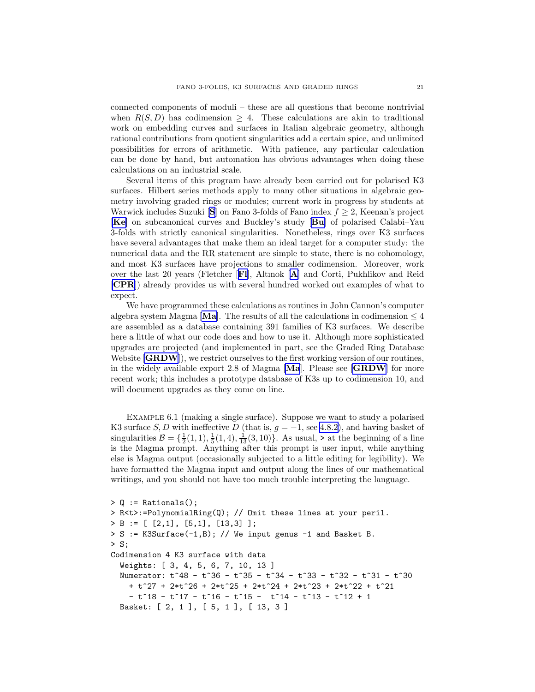connected components of moduli – these are all questions that become nontrivial when  $R(S, D)$  has codimension > 4. These calculations are akin to traditional work on embedding curves and surfaces in Italian algebraic geometry, although rational contributions from quotient singularities add a certain spice, and unlimited possibilities for errors of arithmetic. With patience, any particular calculation can be done by hand, but automation has obvious advantages when doing these calculations on an industrial scale.

Several items of this program have already been carried out for polarised K3 surfaces. Hilbert series methods apply to many other situations in algebraic geometry involving graded rings or modules; current work in progress by students at Warwick includes [S](#page-28-0)uzuki  $[S]$  on Fano 3-folds of Fano index  $f \geq 2$ , Keenan's project [[Ke](#page-27-0)] on subcanonical curves and Buckley's study [[Bu](#page-27-0)] of polarised Calabi–Yau 3-folds with strictly canonical singularities. Nonetheless, rings over K3 surfaces have several advantages that make them an ideal target for a computer study: the numerical data and the RR statement are simple to state, there is no cohomology, and most K3 surfaces have projections to smaller codimension. Moreover, work over the last 20 years (Fletcher [[Fl](#page-27-0)], Altınok [[A](#page-27-0)] and Corti, Pukhlikov and Reid [[CPR](#page-27-0)]) already provides us with several hundred worked out examples of what to expect.

We have programmed these calculations as routines in John Cannon's computer algebra system [Ma](#page-27-0)gma [Ma]. The results of all the calculations in codimension  $\leq 4$ are assembled as a database containing 391 families of K3 surfaces. We describe here a little of what our code does and how to use it. Although more sophisticated upgrades are projected (and implemented in part, see the Graded Ring Database Website  $[\text{GRDW}]$  $[\text{GRDW}]$  $[\text{GRDW}]$ , we restrict ourselves to the first working version of our routines, in the widely available export 2.8 of Magma [[Ma](#page-27-0)]. Please see [[GRDW](#page-27-0)] for more recent work; this includes a prototype database of K3s up to codimension 10, and will document upgrades as they come on line.

Example 6.1 (making a single surface). Suppose we want to study a polarised K3 surface S, D with ineffective D (that is,  $g = -1$ , see [4.8.2\)](#page-13-0), and having basket of singularities  $\mathcal{B} = \{\frac{1}{2}(1,1), \frac{1}{5}(1,4), \frac{1}{13}(3,10)\}\.$  As usual, > at the beginning of a line is the Magma prompt. Anything after this prompt is user input, while anything else is Magma output (occasionally subjected to a little editing for legibility). We have formatted the Magma input and output along the lines of our mathematical writings, and you should not have too much trouble interpreting the language.

```
> Q := Rationals();
> R<t>:=PolynomialRing(Q); // Omit these lines at your peril.
> B := [ [2,1], [5,1], [13,3] ];
> S := K3Surface(-1,B); // We input genus -1 and Basket B.
> S;
Codimension 4 K3 surface with data
  Weights: [ 3, 4, 5, 6, 7, 10, 13 ]
  Numerator: t^48 - t^36 - t^35 - t^34 - t^33 - t^32 - t^31 - t^30
    + t^27 + 2*t^26 + 2*t^25 + 2*t^24 + 2*t^23 + 2*t^22 + t^21
    - t<sup>2</sup>18 - t<sup>2</sup>17 - t<sup>2</sup>16 - t<sup>2</sup>15 - t<sup>2</sup>14 - t<sup>2</sup>13 - t<sup>2</sup>12 + 1
  Basket: [ 2, 1 ], [ 5, 1 ], [ 13, 3 ]
```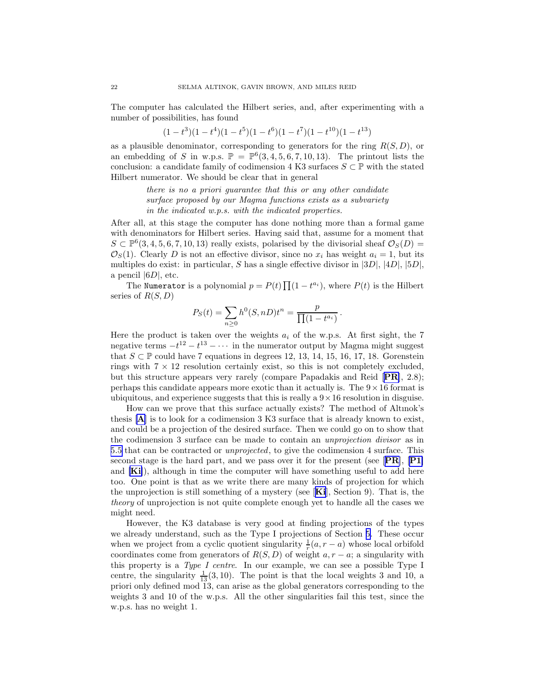<span id="page-22-0"></span>The computer has calculated the Hilbert series, and, after experimenting with a number of possibilities, has found

$$
(1-t^3)(1-t^4)(1-t^5)(1-t^6)(1-t^7)(1-t^{10})(1-t^{13})\\
$$

as a plausible denominator, corresponding to generators for the ring  $R(S, D)$ , or an embedding of S in w.p.s.  $\mathbb{P} = \mathbb{P}^6(3, 4, 5, 6, 7, 10, 13)$ . The printout lists the conclusion: a candidate family of codimension 4 K3 surfaces  $S \subset \mathbb{P}$  with the stated Hilbert numerator. We should be clear that in general

> there is no a priori guarantee that this or any other candidate surface proposed by our Magma functions exists as a subvariety in the indicated w.p.s. with the indicated properties.

After all, at this stage the computer has done nothing more than a formal game with denominators for Hilbert series. Having said that, assume for a moment that  $S \subset \mathbb{P}^6(3, 4, 5, 6, 7, 10, 13)$  really exists, polarised by the divisorial sheaf  $\mathcal{O}_S(D)$  $\mathcal{O}_S(1)$ . Clearly D is not an effective divisor, since no  $x_i$  has weight  $a_i = 1$ , but its multiples do exist: in particular, S has a single effective divisor in  $|3D|, |4D|, |5D|$ , a pencil  $|6D|$ , etc.

The Numerator is a polynomial  $p = P(t) \prod_{i=1}^{n} (1 - t^{a_i})$ , where  $P(t)$  is the Hilbert series of  $R(S, D)$ 

$$
P_S(t) = \sum_{n\geq 0} h^0(S, nD)t^n = \frac{p}{\prod (1 - t^{a_i})}.
$$

Here the product is taken over the weights  $a_i$  of the w.p.s. At first sight, the 7 negative terms  $-t^{12} - t^{13} - \cdots$  in the numerator output by Magma might suggest that  $S \subset \mathbb{P}$  could have 7 equations in degrees 12, 13, 14, 15, 16, 17, 18. Gorenstein rings with  $7 \times 12$  resolution certainly exist, so this is not completely excluded, but this structure appears very rarely (compare Papadakis and Reid [[PR](#page-28-0)], 2.8); perhaps this candidate appears more exotic than it actually is. The  $9 \times 16$  format is ubiquitous, and experience suggests that this is really a  $9 \times 16$  resolution in disguise.

How can we prove that this surface actually exists? The method of Altınok's thesis [[A](#page-27-0)] is to look for a codimension 3 K3 surface that is already known to exist, and could be a projection of the desired surface. Then we could go on to show that the codimension 3 surface can be made to contain an unprojection divisor as in [5.5](#page-17-0) that can be contracted or unprojected, to give the codimension 4 surface. This second stage is the hard part, and we pass over it for the present (see  $[PR]$  $[PR]$  $[PR]$ ,  $[P1]$  $[P1]$  $[P1]$ ) and [[Ki](#page-28-0)]), although in time the computer will have something useful to add here too. One point is that as we write there are many kinds of projection for which the unprojection is still something of a mystery (see  $[Ki]$  $[Ki]$  $[Ki]$ , Section 9). That is, the theory of unprojection is not quite complete enough yet to handle all the cases we might need.

However, the K3 database is very good at finding projections of the types we already understand, such as the Type I projections of Section [5.](#page-15-0) These occur when we project from a cyclic quotient singularity  $\frac{1}{r}(a, r - a)$  whose local orbifold coordinates come from generators of  $R(S, D)$  of weight  $a, r - a$ ; a singularity with this property is a Type I centre. In our example, we can see a possible Type I centre, the singularity  $\frac{1}{13}(3, 10)$ . The point is that the local weights 3 and 10, a priori only defined mod 13, can arise as the global generators corresponding to the weights 3 and 10 of the w.p.s. All the other singularities fail this test, since the w.p.s. has no weight 1.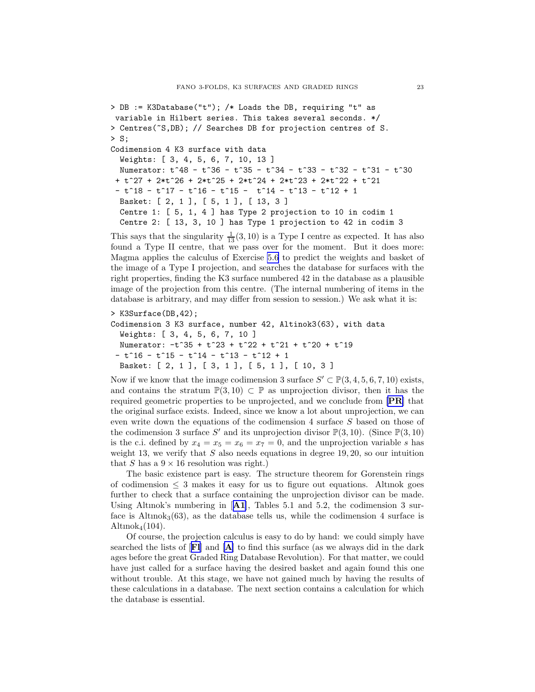```
> DB := K3Database("t"); /* Loads the DB, requiring "t" as
variable in Hilbert series. This takes several seconds. */
> Centres(~S,DB); // Searches DB for projection centres of S.
> S;
Codimension 4 K3 surface with data
  Weights: [ 3, 4, 5, 6, 7, 10, 13 ]
  Numerator: t^48 - t^36 - t^35 - t^34 - t^33 - t^32 - t^31 - t^30
 + t^27 + 2*t^26 + 2*t^25 + 2*t^24 + 2*t^23 + 2*t^22 + t^21
 - t<sup>2</sup>18 - t<sup>2</sup>17 - t<sup>2</sup>16 - t<sup>2</sup>15 - t<sup>2</sup>14 - t<sup>2</sup>13 - t<sup>2</sup>12 + 1
  Basket: [ 2, 1 ], [ 5, 1 ], [ 13, 3 ]
  Centre 1: [ 5, 1, 4 ] has Type 2 projection to 10 in codim 1
  Centre 2: [ 13, 3, 10 ] has Type 1 projection to 42 in codim 3
```
This says that the singularity  $\frac{1}{13}(3, 10)$  is a Type I centre as expected. It has also found a Type II centre, that we pass over for the moment. But it does more: Magma applies the calculus of Exercise [5.6](#page-18-0) to predict the weights and basket of the image of a Type I projection, and searches the database for surfaces with the right properties, finding the K3 surface numbered 42 in the database as a plausible image of the projection from this centre. (The internal numbering of items in the database is arbitrary, and may differ from session to session.) We ask what it is:

```
> K3Surface(DB,42);
Codimension 3 K3 surface, number 42, Altinok3(63), with data
  Weights: [ 3, 4, 5, 6, 7, 10 ]
  Numerator: -t^35 + t^23 + t^22 + t^21 + t^20 + t^19- t^16 - t^15 - t^14 - t^13 - t^12 + 1
  Basket: [ 2, 1 ], [ 3, 1 ], [ 5, 1 ], [ 10, 3 ]
```
Now if we know that the image codimension 3 surface  $S' \subset \mathbb{P}(3, 4, 5, 6, 7, 10)$  exists, and contains the stratum  $\mathbb{P}(3,10) \subset \mathbb{P}$  as unprojection divisor, then it has the required geometric properties to be unprojected, and we conclude from [[PR](#page-28-0)] that the original surface exists. Indeed, since we know a lot about unprojection, we can even write down the equations of the codimension 4 surface S based on those of the codimension 3 surface S' and its unprojection divisor  $\mathbb{P}(3, 10)$ . (Since  $\mathbb{P}(3, 10)$ ) is the c.i. defined by  $x_4 = x_5 = x_6 = x_7 = 0$ , and the unprojection variable s has weight 13, we verify that  $S$  also needs equations in degree 19, 20, so our intuition that S has a  $9 \times 16$  resolution was right.)

The basic existence part is easy. The structure theorem for Gorenstein rings of codimension  $\leq$  3 makes it easy for us to figure out equations. Altinok goes further to check that a surface containing the unprojection divisor can be made. Using Altınok's numbering in  $[**A1**]$  $[**A1**]$  $[**A1**]$ , Tables 5.1 and 5.2, the codimension 3 surface is  $\text{Altimok}_3(63)$ , as the database tells us, while the codimension 4 surface is Altınok $_4(104)$ .

Of course, the projection calculus is easy to do by hand: we could simply have searched the lists of [[Fl](#page-27-0)] and [[A](#page-27-0)] to find this surface (as we always did in the dark ages before the great Graded Ring Database Revolution). For that matter, we could have just called for a surface having the desired basket and again found this one without trouble. At this stage, we have not gained much by having the results of these calculations in a database. The next section contains a calculation for which the database is essential.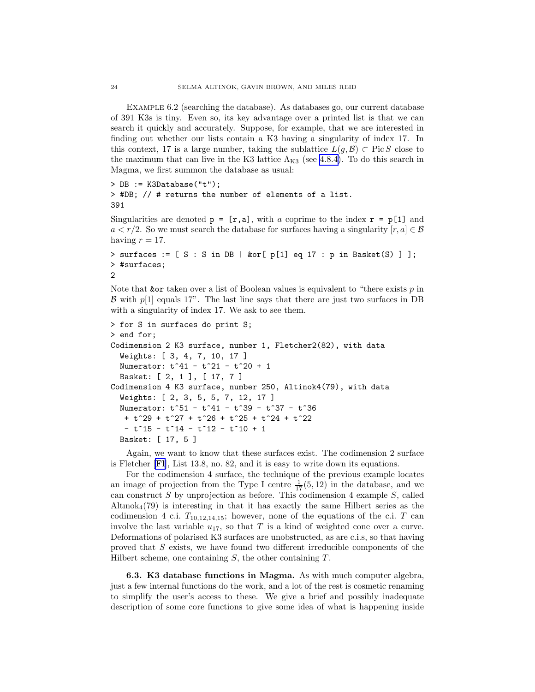Example 6.2 (searching the database). As databases go, our current database of 391 K3s is tiny. Even so, its key advantage over a printed list is that we can search it quickly and accurately. Suppose, for example, that we are interested in finding out whether our lists contain a K3 having a singularity of index 17. In this context, 17 is a large number, taking the sublattice  $L(q, \mathcal{B}) \subset \text{Pic } S$  close to the maximum that can live in the K3 lattice  $\Lambda_{K3}$  (see [4.8.4\)](#page-14-0). To do this search in Magma, we first summon the database as usual:

```
> DB := K3Database("t");
> #DB; // # returns the number of elements of a list.
391
```
Singularities are denoted  $p = [r, a]$ , with a coprime to the index  $r = p[1]$  and  $a < r/2$ . So we must search the database for surfaces having a singularity  $[r, a] \in \mathcal{B}$ having  $r = 17$ .

```
> surfaces := [ S : S in DB | &or[ p[1] eq 17 : p in Basket(S) ] ];
> #surfaces;
2
```
Note that **kor** taken over a list of Boolean values is equivalent to "there exists  $p$  in  $\beta$  with  $p[1]$  equals 17". The last line says that there are just two surfaces in DB with a singularity of index 17. We ask to see them.

```
> for S in surfaces do print S;
> end for;
Codimension 2 K3 surface, number 1, Fletcher2(82), with data
  Weights: [ 3, 4, 7, 10, 17 ]
  Numerator: t^41 - t^21 - t^20 + 1
  Basket: [ 2, 1 ], [ 17, 7 ]
Codimension 4 K3 surface, number 250, Altinok4(79), with data
  Weights: [ 2, 3, 5, 5, 7, 12, 17 ]
  Numerator: t<sup>^</sup>51 - t<sup>^</sup>41 - t<sup>^</sup>39 - t<sup>^</sup>37 - t<sup>^</sup>36
   + t^29 + t^27 + t^26 + t^25 + t^24 + t^222
   - t<sup>2</sup>15 - t<sup>2</sup>14 - t<sup>2</sup>12 - t<sup>2</sup>10 + 1
  Basket: [ 17, 5 ]
```
Again, we want to know that these surfaces exist. The codimension 2 surface is Fletcher [[Fl](#page-27-0)], List 13.8, no. 82, and it is easy to write down its equations.

For the codimension 4 surface, the technique of the previous example locates an image of projection from the Type I centre  $\frac{1}{17}(5,12)$  in the database, and we can construct  $S$  by unprojection as before. This codimension 4 example  $S$ , called  $\text{Altimok}_4(79)$  is interesting in that it has exactly the same Hilbert series as the codimension 4 c.i.  $T_{10,12,14,15}$ ; however, none of the equations of the c.i. T can involve the last variable  $u_{17}$ , so that T is a kind of weighted cone over a curve. Deformations of polarised K3 surfaces are unobstructed, as are c.i.s, so that having proved that S exists, we have found two different irreducible components of the Hilbert scheme, one containing  $S$ , the other containing  $T$ .

6.3. K3 database functions in Magma. As with much computer algebra, just a few internal functions do the work, and a lot of the rest is cosmetic renaming to simplify the user's access to these. We give a brief and possibly inadequate description of some core functions to give some idea of what is happening inside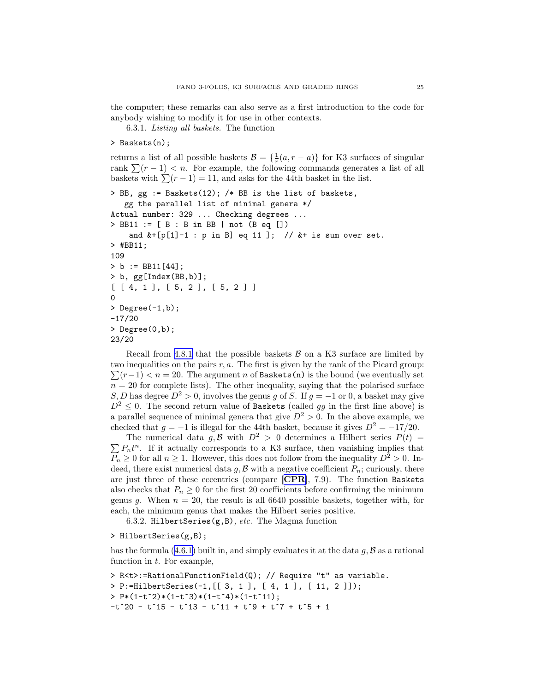the computer; these remarks can also serve as a first introduction to the code for anybody wishing to modify it for use in other contexts.

6.3.1. Listing all baskets. The function

> Baskets(n);

returns a list of all possible baskets  $\mathcal{B} = \{\frac{1}{r}(a, r - a)\}\$ for K3 surfaces of singular rank  $\sum (r - 1) < n$ . For example, the following commands generates a list of all baskets with  $\sum (r - 1) = 11$ , and asks for the 44th basket in the list.

```
> BB, gg := Baskets(12); /* BB is the list of baskets,
   gg the parallel list of minimal genera */
Actual number: 329 ... Checking degrees ...
> BB11 := [ B : B in BB | not (B eq [])
    and k+[p[1]-1 : p in B] eq 11 ]; // k+ is sum over set.
> #BB11;
109
> b := BB11[44];> b, gg[Index(BB,b)];
[ [ 4, 1 ], [ 5, 2 ], [ 5, 2 ] ]
0
> Degree(-1,b);
-17/20
> Degree(0,b);
23/20
```
Recall from [4.8.1](#page-13-0) that the possible baskets  $\beta$  on a K3 surface are limited by  $\sum (r-1) < n = 20$ . The argument n of Baskets(n) is the bound (we eventually set two inequalities on the pairs  $r, a$ . The first is given by the rank of the Picard group:  $n = 20$  for complete lists). The other inequality, saying that the polarised surface S, D has degree  $D^2 > 0$ , involves the genus g of S. If  $g = -1$  or 0, a basket may give  $D^2 \leq 0$ . The second return value of Baskets (called gg in the first line above) is a parallel sequence of minimal genera that give  $D^2 > 0$ . In the above example, we checked that  $g = -1$  is illegal for the 44th basket, because it gives  $D^2 = -17/20$ .

 $\sum P_n t^n$ . If it actually corresponds to a K3 surface, then vanishing implies that The numerical data g, B with  $D^2 > 0$  determines a Hilbert series  $P(t) =$  $P_n \geq 0$  for all  $n \geq 1$ . However, this does not follow from the inequality  $D^2 > 0$ . Indeed, there exist numerical data  $g, \mathcal{B}$  with a negative coefficient  $P_n$ ; curiously, there are just three of these eccentrics (compare [[CPR](#page-27-0)], 7.9). The function Baskets also checks that  $P_n \geq 0$  for the first 20 coefficients before confirming the minimum genus g. When  $n = 20$ , the result is all 6640 possible baskets, together with, for each, the minimum genus that makes the Hilbert series positive.

6.3.2. HilbertSeries( $g$ ,B), *etc.* The Magma function

#### > HilbertSeries(g,B);

hasthe formula  $(4.6.1)$  $(4.6.1)$  $(4.6.1)$  built in, and simply evaluates it at the data  $g, \mathcal{B}$  as a rational function in  $t$ . For example,

```
> R<t>:=RationalFunctionField(Q); // Require "t" as variable.
> P:=HilbertSeries(-1,[[ 3, 1 ], [ 4, 1 ], [ 11, 2 ]]);
> P*(1-t^2)*(1-t^3)*(1-t^4)*(1-t^1);
-t^20 - t<sup>2</sup>15 - t<sup>2</sup>13 - t<sup>2</sup>11 + t<sup>2</sup> + t<sup>2</sup> + t<sup>2</sup> + t<sup>2</sup> + 1
```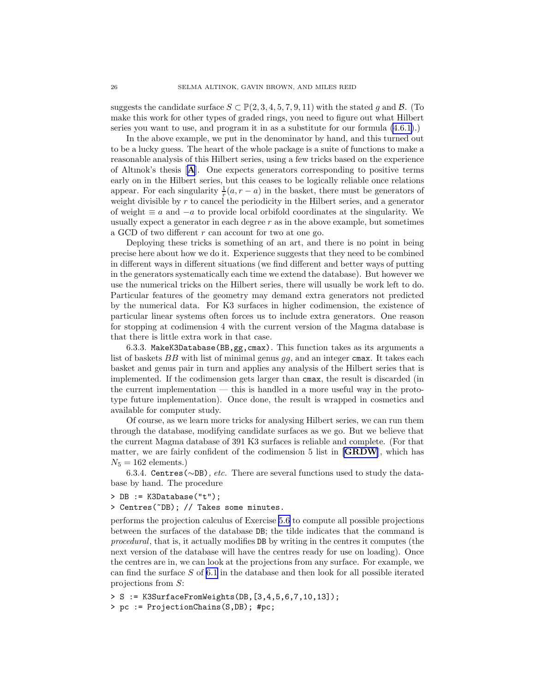<span id="page-26-0"></span>suggests the candidate surface  $S \subset \mathbb{P}(2,3,4,5,7,9,11)$  with the stated g and  $\mathcal{B}$ . (To make this work for other types of graded rings, you need to figure out what Hilbert series you want to use, and program it in as a substitute for our formula [\(4.6.1\)](#page-12-0).)

In the above example, we put in the denominator by hand, and this turned out to be a lucky guess. The heart of the whole package is a suite of functions to make a reasonable analysis of this Hilbert series, using a few tricks based on the experience of Altınok's thesis [[A](#page-27-0)]. One expects generators corresponding to positive terms early on in the Hilbert series, but this ceases to be logically reliable once relations appear. For each singularity  $\frac{1}{r}(a, r - a)$  in the basket, there must be generators of weight divisible by  $r$  to cancel the periodicity in the Hilbert series, and a generator of weight  $\equiv a$  and  $-a$  to provide local orbifold coordinates at the singularity. We usually expect a generator in each degree  $r$  as in the above example, but sometimes a GCD of two different r can account for two at one go.

Deploying these tricks is something of an art, and there is no point in being precise here about how we do it. Experience suggests that they need to be combined in different ways in different situations (we find different and better ways of putting in the generators systematically each time we extend the database). But however we use the numerical tricks on the Hilbert series, there will usually be work left to do. Particular features of the geometry may demand extra generators not predicted by the numerical data. For K3 surfaces in higher codimension, the existence of particular linear systems often forces us to include extra generators. One reason for stopping at codimension 4 with the current version of the Magma database is that there is little extra work in that case.

6.3.3. MakeK3Database(BB,gg,cmax). This function takes as its arguments a list of baskets BB with list of minimal genus gg, and an integer cmax. It takes each basket and genus pair in turn and applies any analysis of the Hilbert series that is implemented. If the codimension gets larger than cmax, the result is discarded (in the current implementation  $-$  this is handled in a more useful way in the prototype future implementation). Once done, the result is wrapped in cosmetics and available for computer study.

Of course, as we learn more tricks for analysing Hilbert series, we can run them through the database, modifying candidate surfaces as we go. But we believe that the current Magma database of 391 K3 surfaces is reliable and complete. (For that matter, we are fairly confident of the codimension 5 list in  $[\mathbf{GRDW}]$  $[\mathbf{GRDW}]$  $[\mathbf{GRDW}]$ , which has  $N_5 = 162$  elements.)

6.3.4. Centres (∼DB), etc. There are several functions used to study the database by hand. The procedure

- > DB := K3Database("t");
- > Centres(~DB); // Takes some minutes.

performs the projection calculus of Exercise [5.6](#page-18-0) to compute all possible projections between the surfaces of the database DB; the tilde indicates that the command is procedural, that is, it actually modifies DB by writing in the centres it computes (the next version of the database will have the centres ready for use on loading). Once the centres are in, we can look at the projections from any surface. For example, we can find the surface  $S$  of [6.1](#page-20-0) in the database and then look for all possible iterated projections from S:

> S := K3SurfaceFromWeights(DB,[3,4,5,6,7,10,13]);

> pc := ProjectionChains(S,DB); #pc;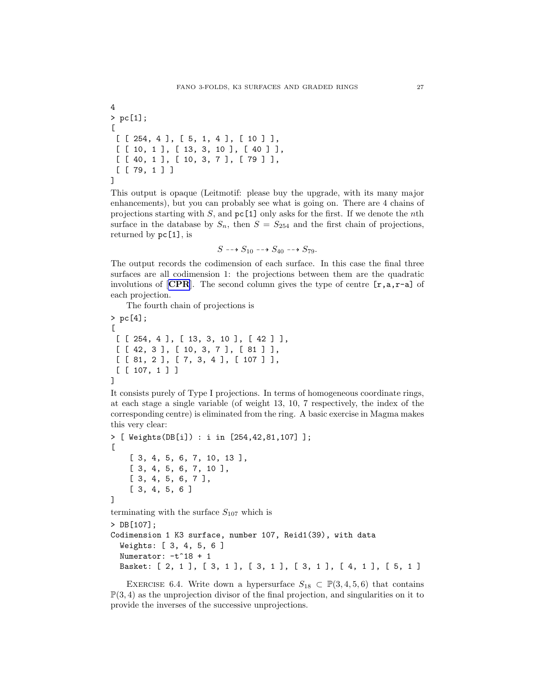<span id="page-27-0"></span>4 > pc[1];  $\Gamma$ [ [ 254, 4 ], [ 5, 1, 4 ], [ 10 ] ], [ [ 10, 1 ], [ 13, 3, 10 ], [ 40 ] ], [ [ 40, 1 ], [ 10, 3, 7 ], [ 79 ] ], [ [ 79, 1 ] ] ]

This output is opaque (Leitmotif: please buy the upgrade, with its many major enhancements), but you can probably see what is going on. There are 4 chains of projections starting with S, and  $p\in[1]$  only asks for the first. If we denote the *n*th surface in the database by  $S_n$ , then  $S = S_{254}$  and the first chain of projections, returned by pc[1], is

$$
S \dashrightarrow S_{10} \dashrightarrow S_{40} \dashrightarrow S_{79}.
$$

The output records the codimension of each surface. In this case the final three surfaces are all codimension 1: the projections between them are the quadratic involutions of  $\mathbf{[CPR]}$ . The second column gives the type of centre  $\mathbf{[r,a,r-a]}$  of each projection.

The fourth chain of projections is

```
> pc[4];
\Gamma[ [ 254, 4 ], [ 13, 3, 10 ], [ 42 ] ],
 [ [ 42, 3 ], [ 10, 3, 7 ], [ 81 ] ],
 [ [ 81, 2 ], [ 7, 3, 4 ], [ 107 ] ],
 [ [ 107, 1 ] ]
]
```
It consists purely of Type I projections. In terms of homogeneous coordinate rings, at each stage a single variable (of weight 13, 10, 7 respectively, the index of the corresponding centre) is eliminated from the ring. A basic exercise in Magma makes this very clear:

```
> [ Weights(DB[i]) : i in [254,42,81,107] ];
\Gamma[ 3, 4, 5, 6, 7, 10, 13 ],
    [ 3, 4, 5, 6, 7, 10 ],
    [ 3, 4, 5, 6, 7 ],
    [ 3, 4, 5, 6 ]
]
terminating with the surface S_{107} which is
> DB[107];
Codimension 1 K3 surface, number 107, Reid1(39), with data
  Weights: [ 3, 4, 5, 6 ]
  Numerator: -t^18 + 1Basket: [ 2, 1 ], [ 3, 1 ], [ 3, 1 ], [ 3, 1 ], [ 4, 1 ], [ 5, 1 ]
```
EXERCISE 6.4. Write down a hypersurface  $S_{18} \subset \mathbb{P}(3, 4, 5, 6)$  that contains  $\mathbb{P}(3, 4)$  as the unprojection divisor of the final projection, and singularities on it to provide the inverses of the successive unprojections.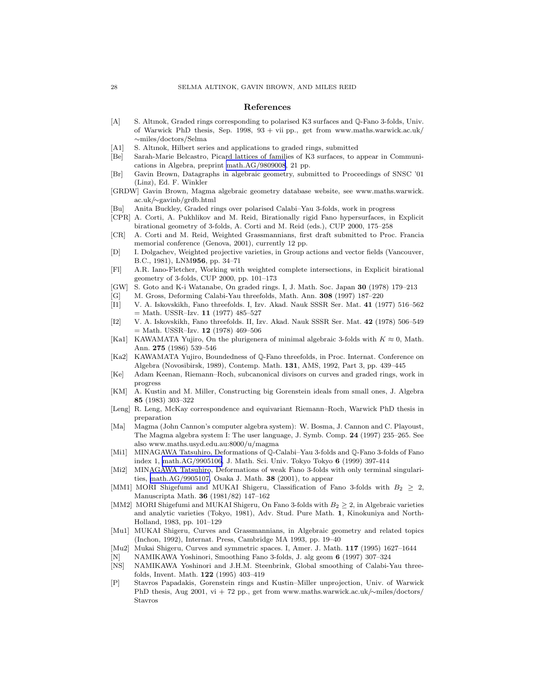#### References

- <span id="page-28-0"></span>[A] S. Altınok, Graded rings corresponding to polarised K3 surfaces and Q-Fano 3-folds, Univ. of Warwick PhD thesis, Sep. 1998,  $93 + vii$  pp., get from www.maths.warwick.ac.uk/ ∼miles/doctors/Selma
- [A1] S. Altınok, Hilbert series and applications to graded rings, submitted
- [Be] Sarah-Marie Belcastro, Picard lattices of families of K3 surfaces, to appear in Communications in Algebra, preprint [math.AG/9809008](http://arXiv.org/abs/math/9809008), 21 pp.
- [Br] Gavin Brown, Datagraphs in algebraic geometry, submitted to Proceedings of SNSC '01 (Linz), Ed. F. Winkler
- [GRDW] Gavin Brown, Magma algebraic geometry database website, see www.maths.warwick. ac.uk/∼gavinb/grdb.html
- [Bu] Anita Buckley, Graded rings over polarised Calabi–Yau 3-folds, work in progress
- [CPR] A. Corti, A. Pukhlikov and M. Reid, Birationally rigid Fano hypersurfaces, in Explicit birational geometry of 3-folds, A. Corti and M. Reid (eds.), CUP 2000, 175–258
- [CR] A. Corti and M. Reid, Weighted Grassmannians, first draft submitted to Proc. Francia memorial conference (Genova, 2001), currently 12 pp.
- [D] I. Dolgachev, Weighted projective varieties, in Group actions and vector fields (Vancouver, B.C., 1981), LNM956, pp. 34–71
- [Fl] A.R. Iano-Fletcher, Working with weighted complete intersections, in Explicit birational geometry of 3-folds, CUP 2000, pp. 101–173
- [GW] S. Goto and K-i Watanabe, On graded rings. I, J. Math. Soc. Japan 30 (1978) 179–213
- [G] M. Gross, Deforming Calabi-Yau threefolds, Math. Ann. 308 (1997) 187–220
- [I1] V. A. Iskovskikh, Fano threefolds. I, Izv. Akad. Nauk SSSR Ser. Mat. 41 (1977) 516–562  $=$  Math. USSR-Izv. 11 (1977) 485-527
- [I2] V. A. Iskovskikh, Fano threefolds. II, Izv. Akad. Nauk SSSR Ser. Mat. 42 (1978) 506–549 = Math. USSR–Izv. 12 (1978) 469–506
- [Ka1] KAWAMATA Yujiro, On the plurigenera of minimal algebraic 3-folds with  $K \approx 0$ , Math. Ann. 275 (1986) 539–546
- [Ka2] KAWAMATA Yujiro, Boundedness of Q-Fano threefolds, in Proc. Internat. Conference on Algebra (Novosibirsk, 1989), Contemp. Math. 131, AMS, 1992, Part 3, pp. 439–445
- [Ke] Adam Keenan, Riemann–Roch, subcanonical divisors on curves and graded rings, work in progress
- [KM] A. Kustin and M. Miller, Constructing big Gorenstein ideals from small ones, J. Algebra 85 (1983) 303–322
- [Leng] R. Leng, McKay correspondence and equivariant Riemann–Roch, Warwick PhD thesis in preparation
- [Ma] Magma (John Cannon's computer algebra system): W. Bosma, J. Cannon and C. Playoust, The Magma algebra system I: The user language, J. Symb. Comp. 24 (1997) 235–265. See also www.maths.usyd.edu.au:8000/u/magma
- [Mi1] MINAGAWA Tatsuhiro, Deformations of Q-Calabi–Yau 3-folds and Q-Fano 3-folds of Fano index 1, [math.AG/9905106,](http://arXiv.org/abs/math/9905106) J. Math. Sci. Univ. Tokyo Tokyo 6 (1999) 397-414
- [Mi2] MINAGAWA Tatsuhiro, Deformations of weak Fano 3-folds with only terminal singularities, [math.AG/9905107,](http://arXiv.org/abs/math/9905107) Osaka J. Math. 38 (2001), to appear
- [MM1] MORI Shigefumi and MUKAI Shigeru, Classification of Fano 3-folds with  $B_2 > 2$ , Manuscripta Math. 36 (1981/82) 147–162
- [MM2] MORI Shigefumi and MUKAI Shigeru, On Fano 3-folds with  $B_2 \geq 2$ , in Algebraic varieties and analytic varieties (Tokyo, 1981), Adv. Stud. Pure Math. 1, Kinokuniya and North-Holland, 1983, pp. 101–129
- [Mu1] MUKAI Shigeru, Curves and Grassmannians, in Algebraic geometry and related topics (Inchon, 1992), Internat. Press, Cambridge MA 1993, pp. 19–40
- [Mu2] Mukai Shigeru, Curves and symmetric spaces. I, Amer. J. Math. 117 (1995) 1627–1644
- [N] NAMIKAWA Yoshinori, Smoothing Fano 3-folds, J. alg geom 6 (1997) 307–324
- [NS] NAMIKAWA Yoshinori and J.H.M. Steenbrink, Global smoothing of Calabi-Yau threefolds, Invent. Math. 122 (1995) 403–419
- [P] Stavros Papadakis, Gorenstein rings and Kustin–Miller unprojection, Univ. of Warwick PhD thesis, Aug 2001, vi + 72 pp., get from www.maths.warwick.ac.uk/∼miles/doctors/ Stavros